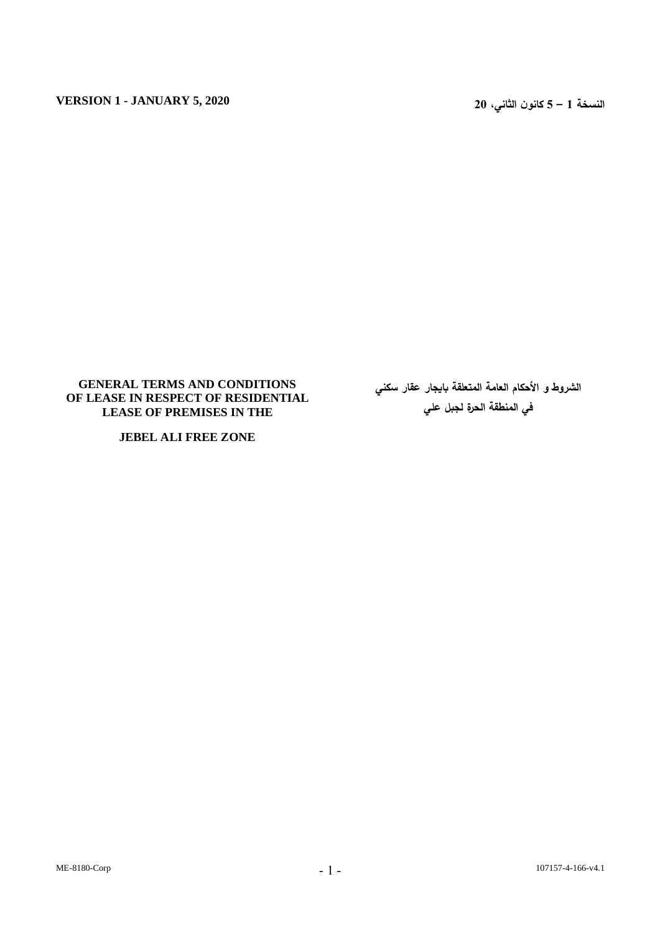## **GENERAL TERMS AND CONDITIONS OF LEASE IN RESPECT OF RESIDENTIAL LEASE OF PREMISES IN THE**

**JEBEL ALI FREE ZONE**

**الشروط و األحكام العامة المتعلقة بايجار عقار سكني في المنطقة الحرة لجبل علي**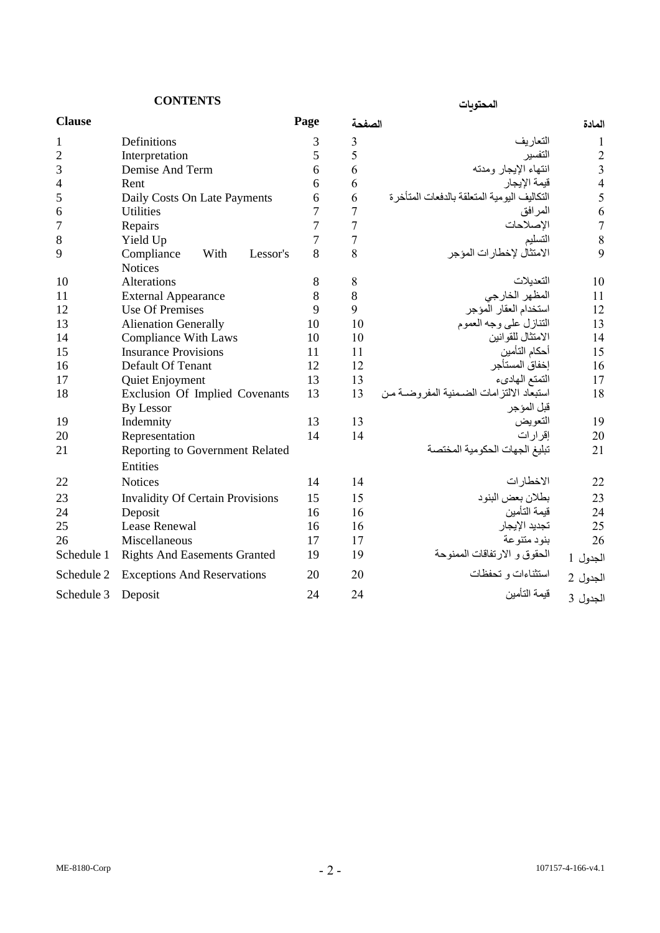# **المحتويات CONTENTS**

| <b>Clause</b>  |                                         | Page           | الصفحة         |                                               | المادة                  |
|----------------|-----------------------------------------|----------------|----------------|-----------------------------------------------|-------------------------|
| 1              | Definitions                             | 3              | 3              | التعاريف                                      | 1                       |
| $\overline{2}$ | Interpretation                          | 5              | 5              | التفسير                                       | $\overline{2}$          |
| 3              | Demise And Term                         | 6              | 6              | انتهاء الإيجار ومدته                          | $\overline{\mathbf{3}}$ |
| 4              | Rent                                    | 6              | 6              | قيمة الإيجار                                  | $\overline{4}$          |
| 5              | Daily Costs On Late Payments            | 6              | 6              | التكاليف اليومية المتعلقة بالدفعات المتأخر ة  | 5                       |
| 6              | <b>Utilities</b>                        | 7              | 7              | المر افق                                      | 6                       |
| 7              | Repairs                                 | 7              | $\overline{7}$ | الإصلاحات                                     | $\overline{7}$          |
| 8              | Yield Up                                | $\overline{7}$ | 7              | التسليم                                       | 8                       |
| 9              | With<br>Compliance<br>Lessor's          | 8              | 8              | الامتثال لإخطارات المؤجر                      | 9                       |
|                | <b>Notices</b>                          |                |                |                                               |                         |
| 10             | <b>Alterations</b>                      | 8              | 8              | التعدبلات                                     | 10                      |
| 11             | <b>External Appearance</b>              | 8              | 8              | المظهر الخارجي                                | 11                      |
| 12             | <b>Use Of Premises</b>                  | 9              | 9              | استخدام العقار المؤجر                         | 12                      |
| 13             | <b>Alienation Generally</b>             | 10             | 10             | التنازل على وجه العموم                        | 13                      |
| 14             | <b>Compliance With Laws</b>             | 10             | 10             | الامتثال للقوانين                             | 14                      |
| 15             | <b>Insurance Provisions</b>             | 11             | 11             | أحكام التأمين                                 | 15                      |
| 16             | Default Of Tenant                       | 12             | 12             | إخفاق المستأجر                                | 16                      |
| 17             | Quiet Enjoyment                         | 13             | 13             | التمتع المهادىء                               | 17                      |
| 18             | Exclusion Of Implied Covenants          | 13             | 13             | استبعاد الالتز امات الضـمنية المفر و ضــة مـن | 18                      |
|                | <b>By Lessor</b>                        |                |                | قبل المؤجر                                    |                         |
| 19             | Indemnity                               | 13             | 13             | التعويض                                       | 19                      |
| 20             | Representation                          | 14             | 14             | إقر ار ات                                     | 20                      |
| 21             | Reporting to Government Related         |                |                | تبليغ الجهات الحكومية المختصة                 | 21                      |
|                | Entities                                |                |                |                                               |                         |
| 22             | <b>Notices</b>                          | 14             | 14             | الاخطار ات                                    | 22                      |
| 23             | <b>Invalidity Of Certain Provisions</b> | 15             | 15             | بطلان بعض البنود                              | 23                      |
| 24             | Deposit                                 | 16             | 16             | قيمة التأمين                                  | 24                      |
| 25             | <b>Lease Renewal</b>                    | 16             | 16             | تجديد الإيجار                                 | 25                      |
| 26             | Miscellaneous                           | 17             | 17             | بنود متنوعة                                   | 26                      |
| Schedule 1     | <b>Rights And Easements Granted</b>     | 19             | 19             | الحقوق و الارتفاقات الممنوحة                  | الجدول 1                |
| Schedule 2     | <b>Exceptions And Reservations</b>      | 20             | 20             | استثناءات و تحفظات                            | الجدول 2                |
| Schedule 3     | Deposit                                 | 24             | 24             | قبمة التأمبن                                  | الجدول 3                |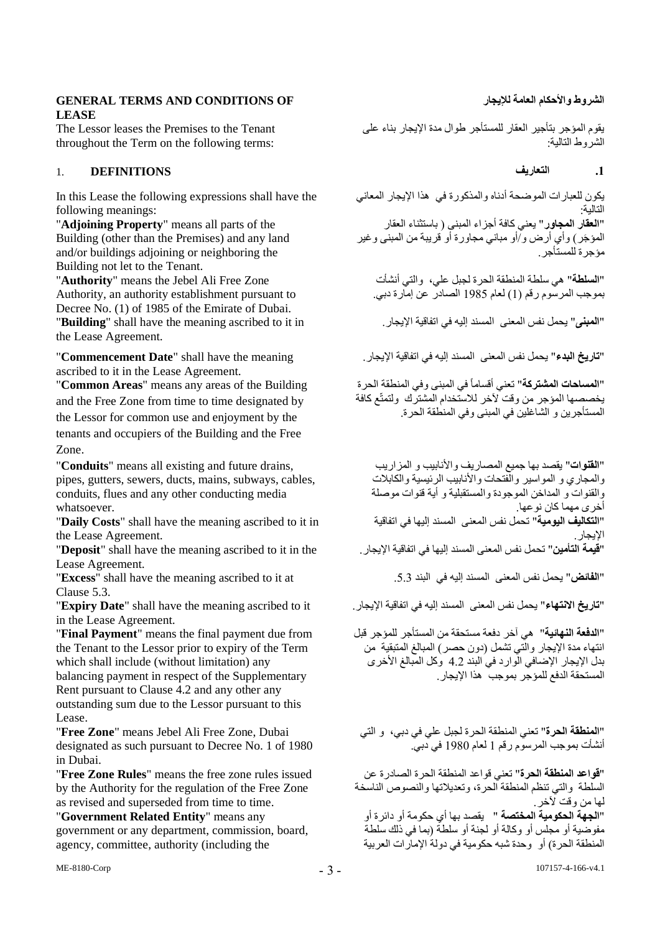## **GENERAL TERMS AND CONDITIONS OF لإليجار العامة واألحكام الشروط LEASE**

The Lessor leases the Premises to the Tenant throughout the Term on the following terms:

## **.1 التعاريف DEFINITIONS** 1.

In this Lease the following expressions shall have the following meanings:

"**Adjoining Property**" means all parts of the Building (other than the Premises) and any land and/or buildings adjoining or neighboring the Building not let to the Tenant.

"**Authority**" means the Jebel Ali Free Zone Authority, an authority establishment pursuant to Decree No. (1) of 1985 of the Emirate of Dubai. "**المبنى**" يحمل نفس المعنى المسند إليه في اتفاقية اإليجار. in it to ascribed meaning the have shall" **Building**" the Lease Agreement.

ascribed to it in the Lease Agreement.

"**Common Areas**" means any areas of the Building and the Free Zone from time to time designated by the Lessor for common use and enjoyment by the tenants and occupiers of the Building and the Free Zone.

"**Conduits**" means all existing and future drains, pipes, gutters, sewers, ducts, mains, subways, cables, conduits, flues and any other conducting media whatsoever.

"**Daily Costs**" shall have the meaning ascribed to it in the Lease Agreement.

"**Deposit**" shall have the meaning ascribed to it in the Lease Agreement.

Clause 5.3.

in the Lease Agreement.

"**Final Payment**" means the final payment due from the Tenant to the Lessor prior to expiry of the Term which shall include (without limitation) any balancing payment in respect of the Supplementary Rent pursuant to Clause 4.2 and any other any outstanding sum due to the Lessor pursuant to this Lease.

"**Free Zone**" means Jebel Ali Free Zone, Dubai designated as such pursuant to Decree No. 1 of 1980 in Dubai.

"**Free Zone Rules**" means the free zone rules issued by the Authority for the regulation of the Free Zone as revised and superseded from time to time.

"**Government Related Entity**" means any government or any department, commission, board, agency, committee, authority (including the

يقوم المؤجر بتأجير العقار للمستأجر طوال مدة اإليجار بناء على الشروط التالية:

يكون للعبارات الموضحة أدناه والمذكورة في هذا الإيجار المعاني التالية: "**العقار المجاور**" يعني كافة أجزاء المبنى ) باستثناء العقار المؤجَر ) وأي أرض و/أو مباني مجاورة أو قريبة من المبنى وغير مؤجرة للمستأجر.

"**السلطة**" هي سلطة المنطقة الحرة لجبل علي، والتي أنشأت بموجب المرسوم رقم )1( لعام 1985 الصادر عن إمارة دبي.

"**تاريخ البدء**" يحمل نفس المعنى المسند إليه في اتفاقية اإليجار. meaning the have shall" **Date Commencement**"

"**المساحات المشتركة**" تعني أقساماً في المبنى وفي المنطقة الحرة يخصصها المؤجر من وقت آلخر لالستخدام المشترك ولتمتّع كافة المستأجرين و الشاغلين في المبنى وفي المنطقة الحرة.

"**القنوات**" يقصد بها جميع المصاريف واألنابيب و المزاريب والمجاري و المواسير والفتحات واألنابيب الرئيسية والكابالت والقنوات و المداخن الموجودة والمستقبلية و أية قنوات موصلة أخرى مهما كان نوعها. "**التكاليف اليومية**" تحمل نفس المعنى المسند إليها في اتفاقية الإيجار .<br>"**قيمة التأمين"** تحمل نفس المعنى المسند إليها في اتفاقية الإيجار .

"**Excess**" shall have the meaning ascribed to it at .5.3 البند في إليه المسند المعنى نفس يحمل" **الفائض**"

"**تاريخ االنتهاء**" يحمل نفس المعنى المسند إليه في اتفاقية اإليجار. it to ascribed meaning the have shall" **Date Expiry**"

"**الدفعة النهائية**" هي آخر دفعة مستحقة من المستأجر للمؤجر قبل انتهاء مدة الإيجار والّتي تشمل (دون حصر) المبالغ المتبقية من بدل الإيجار الإضافي الوارد في البند 4.2 وكل المبالغ الأخرى المستحقة الدفع للمؤجر بموجب هذا اإليجار.

"**المنطقة الحرة**" تعني المنطقة الحرة لجبل علي في دبي، و التي أنشأت بموجب المرسوم رقم 1 لعام 1980 في دبي.

"**قواعد المنطقة الحرة**" تعني قواعد المنطقة الحرة الصادرة عن السلطة والتي تنظم المنطقة الحرة، وتعديالتها والنصوص الناسخة لها من وقت آلخر. "**الجهة الحكومية المختصة** " يقصد بها أي حكومة أو دائرة أو مفوضية أو مجلس أو وكالة أو لجنة أو سلطة (بما في ذلك سلطة المنطقة الحرة) أو وحدة شبه حكومية في دولة الإمارات العربية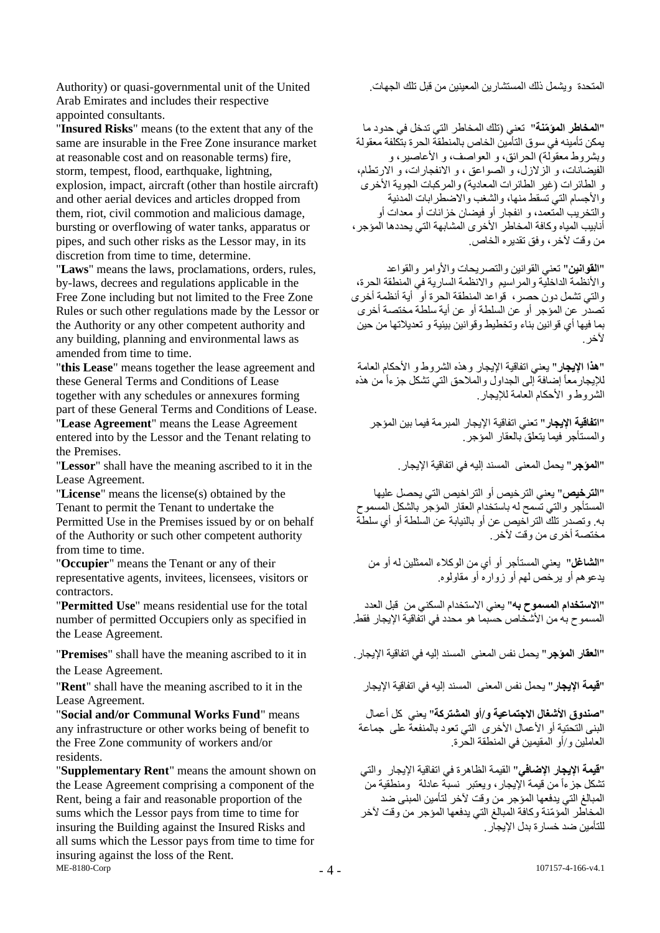Arab Emirates and includes their respective appointed consultants.

"**Insured Risks**" means (to the extent that any of the same are insurable in the Free Zone insurance market at reasonable cost and on reasonable terms) fire, storm, tempest, flood, earthquake, lightning, explosion, impact, aircraft (other than hostile aircraft) and other aerial devices and articles dropped from them, riot, civil commotion and malicious damage, bursting or overflowing of water tanks, apparatus or pipes, and such other risks as the Lessor may, in its discretion from time to time, determine.

"**Laws**" means the laws, proclamations, orders, rules, by-laws, decrees and regulations applicable in the Free Zone including but not limited to the Free Zone Rules or such other regulations made by the Lessor or the Authority or any other competent authority and any building, planning and environmental laws as amended from time to time.

"**this Lease**" means together the lease agreement and these General Terms and Conditions of Lease together with any schedules or annexures forming part of these General Terms and Conditions of Lease. "**Lease Agreement**" means the Lease Agreement entered into by the Lessor and the Tenant relating to

the Premises.

Lease Agreement.

"**License**" means the license(s) obtained by the Tenant to permit the Tenant to undertake the Permitted Use in the Premises issued by or on behalf of the Authority or such other competent authority from time to time.

"**Occupier**" means the Tenant or any of their representative agents, invitees, licensees, visitors or contractors.

"**Permitted Use**" means residential use for the total number of permitted Occupiers only as specified in the Lease Agreement.

the Lease Agreement.

Lease Agreement.

"**Social and/or Communal Works Fund**" means any infrastructure or other works being of benefit to the Free Zone community of workers and/or residents.

ME-8180-Corp "**Supplementary Rent**" means the amount shown on the Lease Agreement comprising a component of the Rent, being a fair and reasonable proportion of the sums which the Lessor pays from time to time for insuring the Building against the Insured Risks and all sums which the Lessor pays from time to time for insuring against the loss of the Rent.

المتحدة ويشمل ذلك المستشارين المعينين من قبل تلك الجهات. United the of unit governmental-quasi or) Authority

"**المخاطر المؤ ّمنة**" تعني )تلك المخاطر التي تدخل في حدود ما يمكن تأمينه في سوق التأمين الخاص بالمنطقة الحرة بتكلفة معقولة وبشروط معقولة) الحرائق، و العواصف، و الأعاصير، و الفيضانات، و الزالزل، و الصواعق ، و االنفجارات، و االرتطام، و الطائرات (غير الطائرات المعادية) والمركبات الجوية الأخرى والأجسام التي تسقط منها، والشغب والاضطر ابات المدنية والتخريب المتعمد، و انفجار أو فيضان خزانات أو معدات أو أنابيب المياه وكافة المخاطر األخرى المشابهة التي يحددها المؤجر، من وقت آلخر، وفق تقديره الخاص.

"**القوانين**" تعني القوانين والتصريحات واألوامر والقواعد واألنظمة الداخلية والمراسيم واالنظمة السارية في المنطقة الحرة، والتي تشمل دون حصر، قواعد المنطقة الحرة أو أية أنظمة أخرى تصدر عن المؤجر أو عن السلطة أو عن أية سلطة مختصة أخرى بما فيها أي قوانين بناء وتخطيط وقوانين بيئية و تعديالتها من حين لأخر .

"**هذا اإليجار**" يعني اتفاقية اإليجار وهذه الشروط و األحكام العامة للإيجار معاً إضافة إلى الجداول والملاحق التي تشكل جزءاً من هذه الشروط و األحكام العامة لإليجار.

"**اتفاقية اإليجار**" تعني اتفاقية اإليجار المبرمة فيما بين المؤجر والمستأجر فيما يتعلق بالعقار المؤجر.

"**Lessor**" shall have the meaning ascribed to it in the .اإليجار اتفاقية في إليه المسند المعنى يحمل" **المؤجر**"

"**الترخيص**" يعني الترخيص أو التراخيص التي يحصل عليها المستأجر والتي تسمح له باستخدام العقار المؤجر بالشكل المسموح به. وتصدر تلك التراخيص عن أو بالنيابة عن السلطة أو أي سلطة مختصة أخرى من وقت آلخر.

"**الشاغل**" يعني المستأجر أو أي من الوكالء الممثلين له أو من يدعوهم أو يرخص لهم أو زواره أو مقاولوه.

"**االستخدام المسموح به**" يعني االستخدام السكني من قبل العدد المسموح به من الأشخاص حسبما هو محدد في اتّفاقية الإيجار فقط.

"**العقار المؤجر**" يحمل نفس المعنى المسند إليه في اتفاقية اإليجار. in it to ascribed meaning the have shall" **Premises**"

"**قيمة الإيجار**" يحمل نفس المعنى المسند إليه في اتفاقية الإيجار "Rent" shall have the meaning ascribed to it in the

"**صندوق األشغال االجتماعية و/أو المشتركة**" يعني كل أعمال البنى التحتية أو الأعمال الأخرى التي تعود بالمنفعة على جماعة العاملين و/أو المقيمين في المنطقة الحرة.

"**قيمة اإليجار اإلضافي**" القيمة الظاهرة في اتفاقية اإليجار والتي تشكل جزءاً من قيمة الإيجار، ويعتبر نسبّة عادلة ومنطقية من ً المبالغ التي يدفعها المؤجر من وقت لأخر لتأمين المبنى ضد المخاطر المؤ ّمنة وكافة المبالغ التي يدفعها المؤجر من وقت آلخر للتأمين ضد خسار ة بدل الإيجار .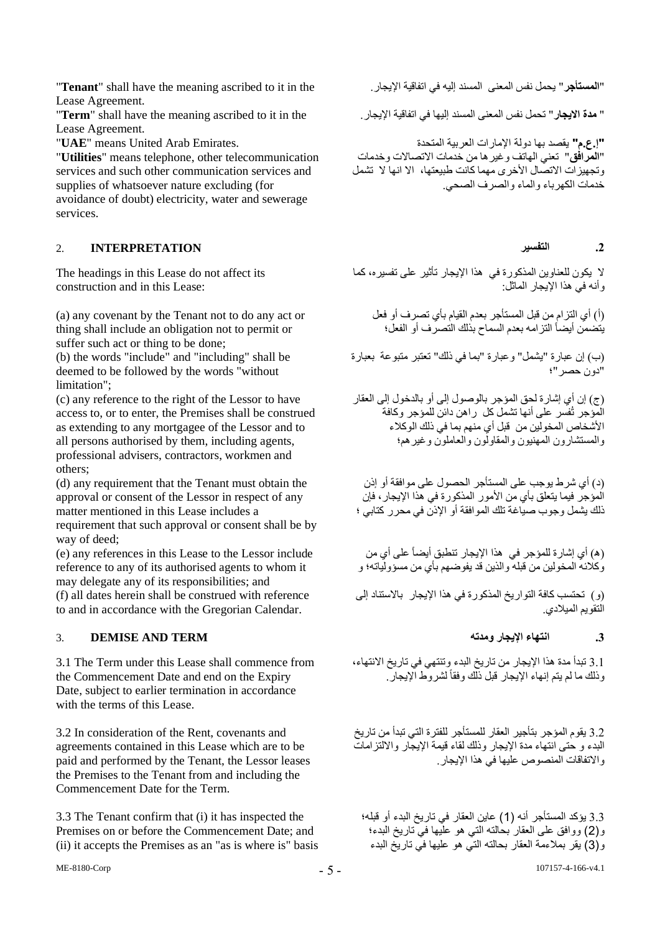"**Tenant**" shall have the meaning ascribed to it in the .اإليجار اتفاقية في إليه المسند المعنى نفس يحمل" **المستأجر**" Lease Agreement.

Lease Agreement.

"**Utilities**" means telephone, other telecommunication services and such other communication services and supplies of whatsoever nature excluding (for avoidance of doubt) electricity, water and sewerage services.

## **.2 التفسير INTERPRETATION** 2.

The headings in this Lease do not affect its construction and in this Lease:

(a) any covenant by the Tenant not to do any act or thing shall include an obligation not to permit or suffer such act or thing to be done;

(b) the words "include" and "including" shall be deemed to be followed by the words "without limitation";

(c) any reference to the right of the Lessor to have access to, or to enter, the Premises shall be construed as extending to any mortgagee of the Lessor and to all persons authorised by them, including agents, professional advisers, contractors, workmen and others;

(d) any requirement that the Tenant must obtain the approval or consent of the Lessor in respect of any matter mentioned in this Lease includes a requirement that such approval or consent shall be by way of deed;

(e) any references in this Lease to the Lessor include reference to any of its authorised agents to whom it may delegate any of its responsibilities; and (f) all dates herein shall be construed with reference to and in accordance with the Gregorian Calendar.

## **.3 انتهاء اإليجار ومدته TERM AND DEMISE** 3.

3.1 The Term under this Lease shall commence from the Commencement Date and end on the Expiry Date, subject to earlier termination in accordance with the terms of this Lease.

3.2 In consideration of the Rent, covenants and agreements contained in this Lease which are to be paid and performed by the Tenant, the Lessor leases the Premises to the Tenant from and including the Commencement Date for the Term.

3.3 The Tenant confirm that (i) it has inspected the Premises on or before the Commencement Date; and (ii) it accepts the Premises as an "as is where is" basis

" **مدة االيجار**" تحمل نفس المعنى المسند إليها في اتفاقية اإليجار. the in it to ascribed meaning the have shall" **Term**"

**"إ.ع.م"** يقصد بها دولة اإلمارات العربية المتحدة .Emirates Arab United means" **UAE**" "**المرافق**" تعني الهاتف وغيرها من خدمات االتصاالت وخدمات وتجهيز ات الاتصال الأخرى مهما كانت طبيعتها، الا انها لا تشمل خدمات الكهرباء والماء والصرف الصحي.

ال يكون للعناوين المذكورة في هذا اإليجار تأثير على تفسيره، كما وأنه في هذا اإليجار الماثل:

)أ( أي التزام من قبل المستأجر بعدم القيام بأي تصرف أو فعل يتضمن أيضاً التزامه بعدم السماح بذلك التصرف أو الفعل؛

)ب( إن عبارة "يشمل" وعبارة "بما في ذلك" تعتبر متبوعة بعبارة "دون حصر"؛

)ج( إن أي إشارة لحق المؤجر بالوصول إلى أو بالدخول إلى العقار المؤجر تُفسر على أنها تشمل كل راهن دائن للمؤجر وكافة األشخاص المخولين من قبل أي منهم بما في ذلك الوكالء والمستشارون المهنيون والمقاولون والعاملون وغيرهم؛

)د( أي شرط يوجب على المستأجر الحصول على موافقة أو إذن المؤجر فيما يتعلق بأي من األمور المذكورة في هذا اإليجار، فإن ذلك يشمل وجوب صياغة تلك الموافقة أو اإلذن في محرر كتابي ؛

)ه( أي إشارة للمؤجر في هذا اإليجار تنطبق أيضاً على أي من وكالئه المخولين من قبله والذين قد يفوةهم بأي من مسؤولياته؛ و

)و( تحتسب كافة التواريخ المذكورة في هذا اإليجار باالستناد إلى التقويم الميالدي.

3.1 تبدأ مدة هذا اإليجار من تاريخ البدء وتنتهي في تاريخ االنتهاء، وذلك ما لم يتم إنهاء اإليجار قبل ذلك وفقاً لشروط اإليجار.

3.2 يقوم المؤجر بتأجير العقار للمستأجر للفترة التي تبدأ من تاريخ البدء و حتى انتهاء مدة اإليجار وذلك لقاء قيمة اإليجار وااللتزامات واالتفاقات المنصوص عليها في هذا اإليجار.

3.3 يؤكد المستأجر أنه (1) عاين العقار في تاريخ البدء أو قبله؛ و)2( ووافق على العقار بحالته التي هو عليها في تاريخ البدء؛ و)3( يقر بمالءمة العقار بحالته التي هو عليها في تاريخ البدء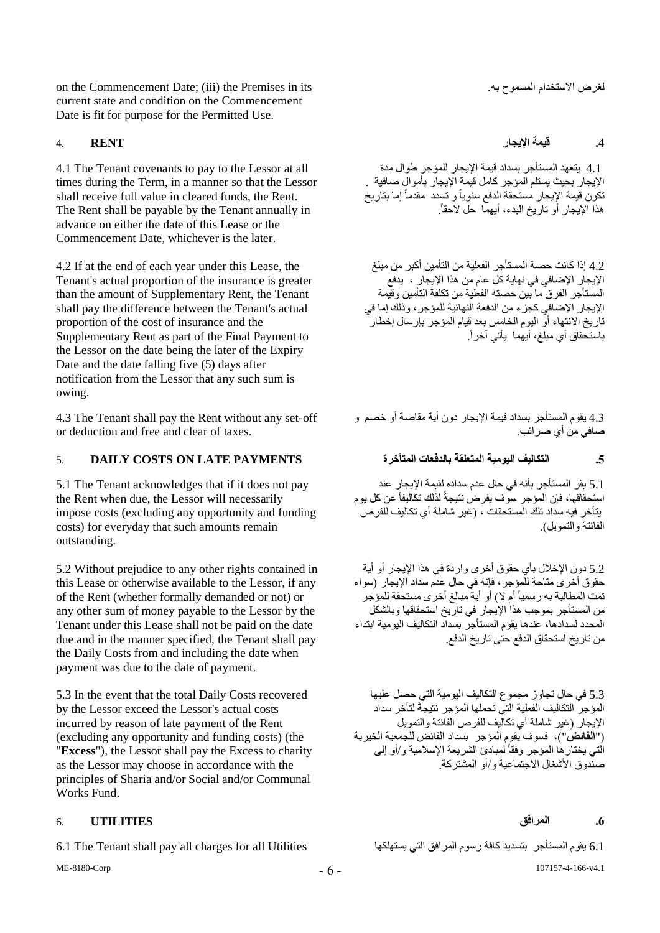on the Commencement Date; (iii) the Premises in its .به المسموح االستخدام لغرض current state and condition on the Commencement Date is fit for purpose for the Permitted Use.

4.1 The Tenant covenants to pay to the Lessor at all times during the Term, in a manner so that the Lessor shall receive full value in cleared funds, the Rent. The Rent shall be payable by the Tenant annually in advance on either the date of this Lease or the Commencement Date, whichever is the later.

4.2 If at the end of each year under this Lease, the Tenant's actual proportion of the insurance is greater than the amount of Supplementary Rent, the Tenant shall pay the difference between the Tenant's actual proportion of the cost of insurance and the Supplementary Rent as part of the Final Payment to the Lessor on the date being the later of the Expiry Date and the date falling five (5) days after notification from the Lessor that any such sum is owing.

4.3 The Tenant shall pay the Rent without any set-off or deduction and free and clear of taxes.

## **.5 التكاليف اليومية المتعلقة بالدفعات المتأخرة PAYMENTS LATE ON COSTS DAILY** 5.

5.1 The Tenant acknowledges that if it does not pay the Rent when due, the Lessor will necessarily impose costs (excluding any opportunity and funding costs) for everyday that such amounts remain outstanding.

5.2 Without prejudice to any other rights contained in this Lease or otherwise available to the Lessor, if any of the Rent (whether formally demanded or not) or any other sum of money payable to the Lessor by the Tenant under this Lease shall not be paid on the date due and in the manner specified, the Tenant shall pay the Daily Costs from and including the date when payment was due to the date of payment.

5.3 In the event that the total Daily Costs recovered by the Lessor exceed the Lessor's actual costs incurred by reason of late payment of the Rent (excluding any opportunity and funding costs) (the "**Excess**"), the Lessor shall pay the Excess to charity as the Lessor may choose in accordance with the principles of Sharia and/or Social and/or Communal Works Fund.

## **.6 المرافق UTILITIES** 6.

6.1 The Tenant shall pay all charges for all Utilities يقوم المستأجر بتسديد كافة رسوم المرافق التي يستهلكها ال

**.4 قيمة اإليجار RENT** 4.

 4.1 يتعهد المستأجر بسداد قيمة اإليجار للمؤجر طوال مدة اإليجار بحيث يستلم المؤجر كامل قيمة اإليجار بأموال صافية . تكون قيمة اإليجار مستحقة الدفع سنوياً و تسدد مقدماً إما بتاريخ هذا اإليجار أو تاريخ البدء، أيهما حل الحقا.ً

4.2 إذا كانت حصة المستأجر الفعلية من التأمين أكبر من مبلغ اإليجار اإلةافي في نهاية كل عام من هذا اإليجار ، يدفع المستأجر الفرق ما بين حصته الفعلية من تكلفة التأمين وقيمة اإليجار اإلةافي كجزء من الدفعة النهائية للمؤجر، وذلك إما في تاريخ الانتهاء أو اليوم الخامس بعد قيام المؤجر بإرسال إخطار باستحقاق أي مبلغ، أيهما يأتي آخرا.ً

4.3 يقوم المستأجر بسداد قيمة اإليجار دون أية مقاصة أو خصم و صـافي من أي ضـر ائب.

5.1 يقر المستأجر بأنه في حال عدم سداده لقيمة اإليجار عند استحقاقها، فإن المؤجر سوف يفرض نتيجةً لذلك تكاليفاً عن كل يوم يتأخر فيه سداد تلك المستحقات ، )غير شاملة أي تكاليف للفرص الفائتة و التمويل).

5.2 دون الإخلال بأي حقوق أخرى واردة في هذا الإيجار أو أية حقوق أخرى متاحة للمؤجر، فإنه في حال عدم سداد اإليجار )سواء تمت المطالبة به رسمياً أم لا) أو أية مبالغ أخرى مستحقة للمؤجر من المستأجر بموجب هذا اإليجار في تاريخ استحقاقها وبالشكل المحدد لسدادها، عندها يقوم المستأجر بسداد التكاليف اليومية ابتداء من تاريخ استحقاق الدفع حتى تاريخ الدفع.

5.3 في حال تجاوز مجموع التكاليف اليومية التي حصل عليها المؤجر التكاليف الفعلية التي تحملها المؤجر نتيجةً لتأخر سداد اإليجار )غير شاملة أي تكاليف للفرص الفائتة والتمويل )"**الفائض**"(، فسوف يقوم المؤجر بسداد الفائض للجمعية الخيرية الّتي يختار ها المؤجر وفقاً لمبادئ الشريعة الإسلامية و/أو إلى صندوق األشغال االجتماعية و/أو المشتركة.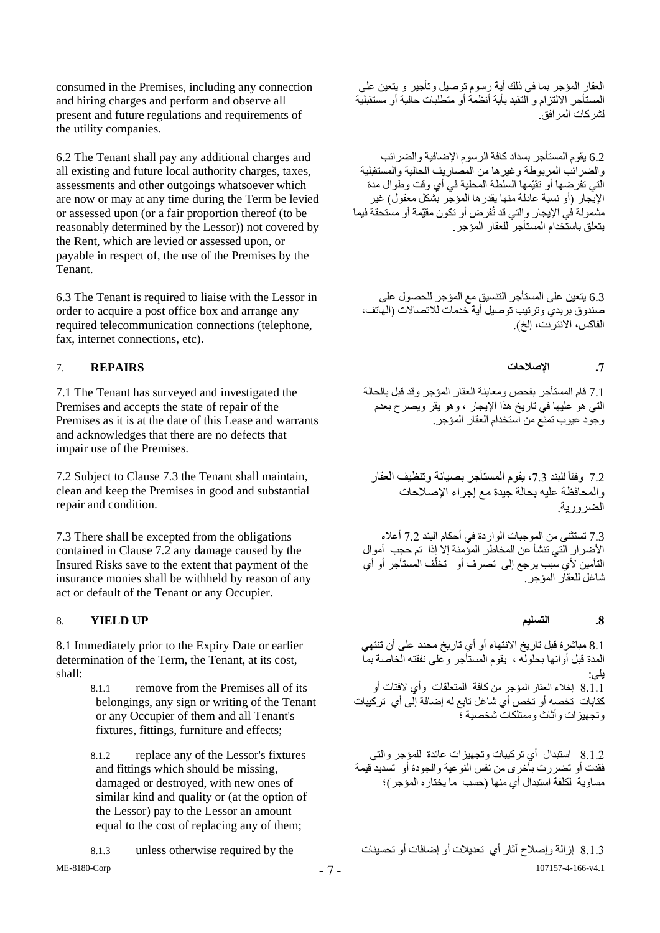consumed in the Premises, including any connection and hiring charges and perform and observe all present and future regulations and requirements of the utility companies.

6.2 The Tenant shall pay any additional charges and all existing and future local authority charges, taxes, assessments and other outgoings whatsoever which are now or may at any time during the Term be levied or assessed upon (or a fair proportion thereof (to be reasonably determined by the Lessor)) not covered by the Rent, which are levied or assessed upon, or payable in respect of, the use of the Premises by the Tenant.

6.3 The Tenant is required to liaise with the Lessor in order to acquire a post office box and arrange any required telecommunication connections (telephone, fax, internet connections, etc).

7.1 The Tenant has surveyed and investigated the Premises and accepts the state of repair of the Premises as it is at the date of this Lease and warrants and acknowledges that there are no defects that impair use of the Premises.

7.2 Subject to Clause 7.3 the Tenant shall maintain, clean and keep the Premises in good and substantial repair and condition.

7.3 There shall be excepted from the obligations contained in Clause 7.2 any damage caused by the Insured Risks save to the extent that payment of the insurance monies shall be withheld by reason of any act or default of the Tenant or any Occupier.

## <span id="page-6-0"></span>8. **YIELD UP التسليم .8**

8.1 Immediately prior to the Expiry Date or earlier determination of the Term, the Tenant, at its cost, shall:

> 8.1.1 remove from the Premises all of its belongings, any sign or writing of the Tenant or any Occupier of them and all Tenant's fixtures, fittings, furniture and effects;

8.1.2 replace any of the Lessor's fixtures and fittings which should be missing, damaged or destroyed, with new ones of similar kind and quality or (at the option of the Lessor) pay to the Lessor an amount equal to the cost of replacing any of them;

ME-8180-Corp

العقار المؤجر بما في ذلك أية رسوم توصيل وتأجير و يتعين على المستأجر االلتزام و التقيد بأية أنظمة أو متطلبات حالية أو مستقبلية لشركات المرافق.

6.2 يقوم المستأجر بسداد كافة الرسوم الإضافية والضرائب والضرائب المربوطة وغيرها من المصاريف الحالية والمستقبلية التي تفرضها أو تقيّمها السلطة المحلية في أي وقت وطوال مدة الإيجار (أو نسبة عادلة منها يقدرها المؤجر بشكل معقول) غير مشمولة في اإليجار والتي قد تُفرض أو تكون مقيّمة أو مستحقة فيما يتعلق باستخدام المستأجر للعقار المؤجر.

6.3 يتعين على المستأجر التنسيق مع المؤجر للحصول على صندوق بريدي وترتيب توصيل أية خدمات لالتصاالت )الهاتف، الفاكس، الانترنت، إلخ).

## **.7 اإلصالحات REPAIRS** 7.

7.1 قام المستأجر بفحص ومعاينة العقار المؤجر وقد قبل بالحالة التي هو عليها في تاريخ هذا اإليجار ، وهو يقر ويصرح بعدم وجود عيوب تمنع من استخدام العقار المؤجر.

7.2 وفقاً للبند 7.3، يقوم المستأجر بصيانة وتنظيف العقار والمحافظة عليه بحالة جيدة مع إجراء اإلصالحات الضرورية.

7.3 تستثنى من الموجبات الواردة في أحكام البند 7.2 أعاله األةرار التي تنشأ عن المخاطر المؤمنة إال إذا تم حجب أموال التأمين لأي سبب يرجع إلى تصرف أو تخلّف المستأجر أو أي شاغل للعقار المؤجر.

8.1 مباشرة قبل تاريخ االنتهاء أو أي تاريخ محدد على أن تنتهي المدة قبل أوانها بحلوله ، يقوم المستأجر وعلى نفقته الخاصة بما يلي: 8.1.1 إخالء العقار المؤجر من كافة المتعلقات وأي الفتات أو كتابات تخصه أو تخص أي شاغل تابع له إضافة إلّي أي تركيبات وتجهيزات وأثاث وممتلكات شخصية ؛

8.1.2 استبدال أي تركيبات وتجهيزات عائدة للمؤجر والتي فقدت أو تضررت بأخرى من نفس النوعية والجودة أو تسديد قيمة مساوية لكلفة استبدال أي منها )حسب ما يختاره المؤجر(؛

107157-4-166-v4.1 8.1.3 إزالة وإصالح آثار أي تعديالت أو إةافات أو تحسينات the by required otherwise unless 8.1.3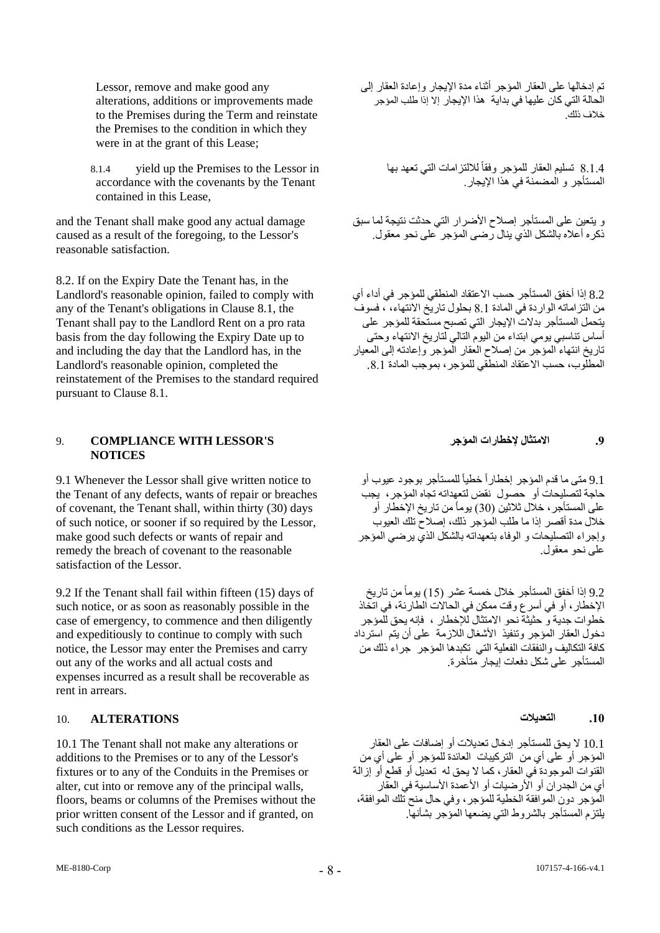Lessor, remove and make good any alterations, additions or improvements made to the Premises during the Term and reinstate the Premises to the condition in which they were in at the grant of this Lease;

8.1.4 yield up the Premises to the Lessor in accordance with the covenants by the Tenant contained in this Lease,

and the Tenant shall make good any actual damage caused as a result of the foregoing, to the Lessor's reasonable satisfaction.

8.2. If on the Expiry Date the Tenant has, in the Landlord's reasonable opinion, failed to comply with any of the Tenant's obligations in Clause 8.1, the Tenant shall pay to the Landlord Rent on a pro rata basis from the day following the Expiry Date up to and including the day that the Landlord has, in the Landlord's reasonable opinion, completed the reinstatement of the Premises to the standard required pursuant to Clause 8.1.

### <span id="page-7-0"></span>9. **COMPLIANCE WITH LESSOR'S المؤجر إلخطارات االمتثال .9 NOTICES**

9.1 Whenever the Lessor shall give written notice to the Tenant of any defects, wants of repair or breaches of covenant, the Tenant shall, within thirty (30) days of such notice, or sooner if so required by the Lessor, make good such defects or wants of repair and remedy the breach of covenant to the reasonable satisfaction of the Lessor.

9.2 If the Tenant shall fail within fifteen (15) days of such notice, or as soon as reasonably possible in the case of emergency, to commence and then diligently and expeditiously to continue to comply with such notice, the Lessor may enter the Premises and carry out any of the works and all actual costs and expenses incurred as a result shall be recoverable as rent in arrears.

## **.10 التعديالت ALTERATIONS** 10.

10.1 The Tenant shall not make any alterations or additions to the Premises or to any of the Lessor's fixtures or to any of the Conduits in the Premises or alter, cut into or remove any of the principal walls, floors, beams or columns of the Premises without the prior written consent of the Lessor and if granted, on such conditions as the Lessor requires.

تم إدخالها على العقار المؤجر أثناء مدة اإليجار وإعادة العقار إلى الحالة التي كان عليها في بداية هذا اإليجار إال إذا طلب المؤجر خالف ذلك.

8.1.4 تسليم العقار للمؤجر وفقأ للالتزامات التي تعهد بها المستأجر و المضمنة في هذا اإليجار.

و يتعين على المستأجر إصلاح الأضرار التي حدثت نتيجة لما سبق ذكره أعلاه بالشكل الذي ينال رضمي المؤجر على نحو معقول.

8.2 إذا أخفق المستأجر حسب االعتقاد المنطقي للمؤجر في أداء أي من التزاماته الواردة في المادة 8.1 بحلول تاريخ االنتهاء، ، فسوف يتحمل المستأجر بدالت اإليجار التي تصبح مستحقة للمؤجر على أساس تناسبي يومي ابتداء من اليوم التالي لتاريخ االنتهاء وحتى تاريخ انتهاء المؤجر من إصالح العقار المؤجر وإعادته إلى المعيار المطلّوب، حسب الاعتقاد المنطقي للمؤجر ، بموجب المادة 8.1.

9.1 متى ما قدم المؤجر إخطاراً خطياً للمستأجر بوجود عيوب أو حاجة لتصليحات أو حصول نقض لتعهداته تجاه المؤجر، يجب على المستأجر ، خلال ثلاثين (30) يوماً من تاريخ الإخطار أو خالل مدة أقصر إذا ما طلب المؤجر ذلك، إصالح تلك العيوب وإجراء التصليحات و الوفاء بتعهداته بالشكل الذي يرةي المؤجر على نحو معقول.

9.2 إذا أخفق المستأجر خالل خمسة عشر )15( يوماًمن تاريخ اإلخطار، أو في أسرع وقت ممكن في الحاالت الطارئة، في اتخاذ خطوات جدية و حثيثة نحو االمتثال لإلخطار ، فإنه يحق للمؤجر دخول العقار المؤجر وتنفيذ األشغال الالزمة على أن يتم استرداد رت -–ر -<del>--ربر وسب من سعين العلمات على ال</del>م بسترداد<br>كافة التكاليف والنفقات الفعلية التي تكبدها المؤجر جراء ذلك من المستأجر على شكل دفعات إيجار متأخرة.

10.1 ال يحق للمستأجر إدخال تعديالت أو إةافات على العقار المؤجر أو على أي من التركيبات العائدة للمؤجر أو على أي من القنوات الموجودة في العقار، كما ال يحق له تعديل أو قطع أو إزالة أي من الجدر ان أو الأرضيات أو الأعمدة الأساسية في العقار المؤجر دون الموافقة الخطية للمؤجر، وفي حال منح تلك الموافقة، يلتزم المستأجر بالشروط التي يضعها المؤجر بشأنها.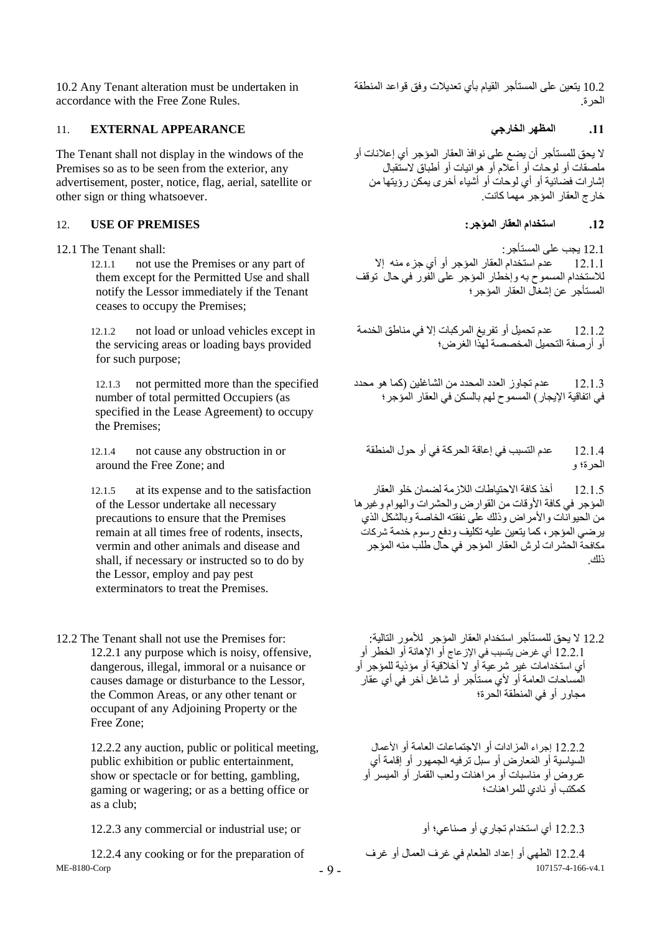10.2 Any Tenant alteration must be undertaken in accordance with the Free Zone Rules.

## **.11 المظهر الخارجي APPEARANCE EXTERNAL** 11.

The Tenant shall not display in the windows of the Premises so as to be seen from the exterior, any advertisement, poster, notice, flag, aerial, satellite or other sign or thing whatsoever.

### **.12 استخدام العقار المؤجر: PREMISES OF USE** 12.

- - 12.1.1 not use the Premises or any part of them except for the Permitted Use and shall notify the Lessor immediately if the Tenant ceases to occupy the Premises;

12.1.2 not load or unload vehicles except in the servicing areas or loading bays provided for such purpose;

12.1.3 not permitted more than the specified number of total permitted Occupiers (as specified in the Lease Agreement) to occupy the Premises;

12.1.4 not cause any obstruction in or around the Free Zone; and

12.1.5 at its expense and to the satisfaction of the Lessor undertake all necessary precautions to ensure that the Premises remain at all times free of rodents, insects, vermin and other animals and disease and shall, if necessary or instructed so to do by the Lessor, employ and pay pest exterminators to treat the Premises.

12.2.1 any purpose which is noisy, offensive, dangerous, illegal, immoral or a nuisance or causes damage or disturbance to the Lessor, the Common Areas, or any other tenant or occupant of any Adjoining Property or the Free Zone;

> 12.2.2 any auction, public or political meeting, public exhibition or public entertainment, show or spectacle or for betting, gambling, gaming or wagering; or as a betting office or as a club;

12.2.3 أي استخدام تجاري أو صناعي؛ أو industrial use; or; أي استخدام تجاري أو صناعي؛ أو  $12.2.3$ 

ME-8180-Corp

10.2 يتعين على المستأجر القيام بأي تعديالت وفق قواعد المنطقة الحرة.

ال يحق للمستأجر أن يضع على نوافذ العقار المؤجر أي إعالنات أو ملصقات أو لوحات أو أعالم أو هوائيات أو أطباق الستقبال إشارات فضائية أو أي لوحات أو أشياء أخرى يمكن رؤيتها من خارج العقار المؤجر مهما كانت.

12.1 يجب على المستأجر: :shall Tenant The 12.1 12.1.1 عدم استخدام العقار المؤجر أو أي جزء منه إال لالستخدام المسموح به وإخطار المؤجر على الفور في حال توقف المستأجر عن إشغال العقار المؤجر؛

> 12.1.2 عدم تحميل أو تفريغ المركبات إال في مناطق الخدمة أو أرصفة التحميل المخصصة لهذا الغرض؛

> 12.1.3 عدم تجاوز العدد المحدد من الشاغلين )كما هو محدد في اتفاقية اإليجار( المسموح لهم بالسكن في العقار المؤجر؛

12.1.4 عدم التسبب في إعاقة الحركة في أو حول المنطقة الحرة؛ و

12.1.5 أخذ كافة االحتياطات الالزمة لضمان خلو العقار المؤجر في كافة األوقات من القوارض والحشرات والهوام وغيرها من الحيوانات والأمراض وذلك على نفقته الخاصة وبالشكل الذي ير ضبي المؤجر ، كما يتعين عليه تكليف ودفع ر سوم خدمة شر كات مكافحة الحشرات لرش العقار المؤجر في حال طلب منه المؤجر ذلك.

12.2 لا يحق للمستأجر استخدام العقار المؤجر للأمور التالية: : :for Premises for: 12.2 The Tenant shall not use the Premises for 12.2.1 أي غرض يتسبب في اإلزعاج أو اإلهانة أو الخطر أو أي استخدامات غير شرعية أو ال أخالقية أو مؤذية للمؤجر أو المساحات العامة أو ألي مستأجر أو شاغل آخر في أي عقار مجاور أو في المنطقة الحرة؛

> 12.2.2 إجراء المزادات أو الاجتماعات العامة أو الأعمال السياسية أو المَعارض أو سبل ترفيه الجمهور أوِ إقامة أي عروض أو مناسبات أو مراهنات ولعب القمار أو الميسر أو كمكتب أو نادي للمراهنات؛

107157-4-166-v4.1 12.2.4 الطهي أو إعداد الطعام في غرف العمال أو غرف of preparation the for or cooking any 12.2.4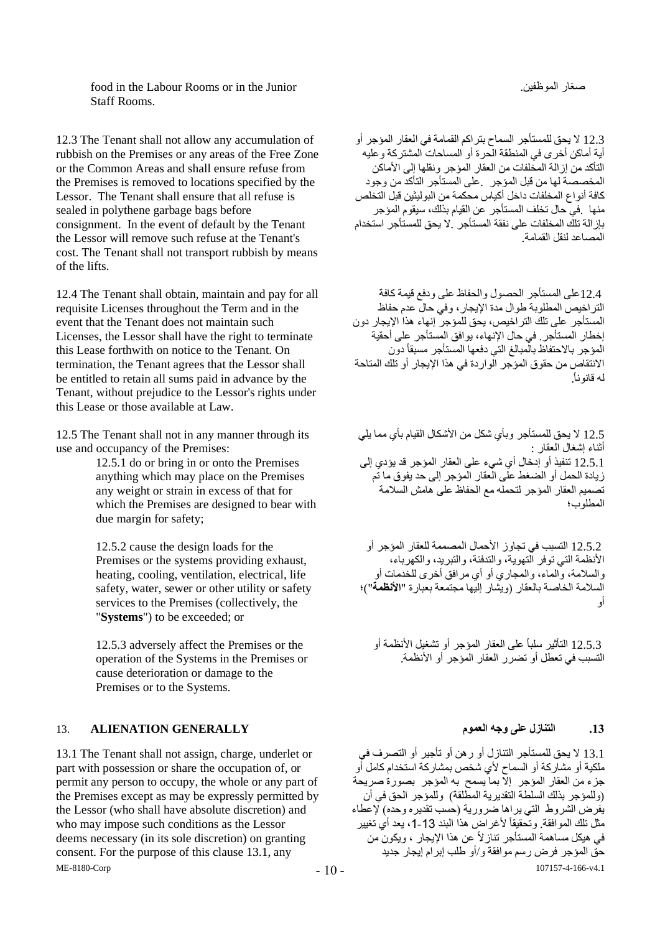food in the Labour Rooms or in the Junior .الموظفين صغار Staff Rooms.

12.3 The Tenant shall not allow any accumulation of rubbish on the Premises or any areas of the Free Zone or the Common Areas and shall ensure refuse from the Premises is removed to locations specified by the Lessor. The Tenant shall ensure that all refuse is sealed in polythene garbage bags before consignment. In the event of default by the Tenant the Lessor will remove such refuse at the Tenant's cost. The Tenant shall not transport rubbish by means of the lifts.

12.4 The Tenant shall obtain, maintain and pay for all requisite Licenses throughout the Term and in the event that the Tenant does not maintain such Licenses, the Lessor shall have the right to terminate this Lease forthwith on notice to the Tenant. On termination, the Tenant agrees that the Lessor shall be entitled to retain all sums paid in advance by the Tenant, without prejudice to the Lessor's rights under this Lease or those available at Law.

12.5 The Tenant shall not in any manner through its use and occupancy of the Premises:

> 12.5.1 do or bring in or onto the Premises anything which may place on the Premises any weight or strain in excess of that for which the Premises are designed to bear with due margin for safety;

12.5.2 cause the design loads for the Premises or the systems providing exhaust, heating, cooling, ventilation, electrical, life safety, water, sewer or other utility or safety services to the Premises (collectively, the "**Systems**") to be exceeded; or

12.5.3 adversely affect the Premises or the operation of the Systems in the Premises or cause deterioration or damage to the Premises or to the Systems.

## **.13 التنازل على وجه العموم GENERALLY ALIENATION** 13.

ME-8180-Corp 13.1 The Tenant shall not assign, charge, underlet or part with possession or share the occupation of, or permit any person to occupy, the whole or any part of the Premises except as may be expressly permitted by the Lessor (who shall have absolute discretion) and who may impose such conditions as the Lessor deems necessary (in its sole discretion) on granting consent. For the purpose of this clause 13.1, any

12.3 ال يحق للمستأجر السماح بتراكم القمامة في العقار المؤجر أو أية أماكن أخرى في المنطقة الحرة أو المساحات المشتركة وعليه .<br>التأكد من إز الّـة المخلفات من العقار المؤجر ونقلها إلى الأماكن المخصصة لها من قبل المؤجر .على المستأجر التأكد من وجود كافة أنواع المخلفات داخل أكياس محكمة من البوليثين قبل التخلص منها .في حال تخلف المستأجر عن القيام بذلك، سيقوم المؤجر بإزالة تلك المخلفات على نفقة المستأجر .ال يحق للمستأجر استخدام المصاعد لنقل القمامة.

 12.4على المستأجر الحصول والحفاظ على ودفع قيمة كافة التراخيص المطلوبة طوال مدة اإليجار، وفي حال عدم حفاظ المستأجر على تلك التراخيص، يحق للمؤجر إنهاء هذا اإليجار دون إخطار المستأجر. في حال اإلنهاء، يوافق المستأجر على أحقية .<br>المؤجر بالاحتفاظ بالمبالغ التي دفعها المستأجر مسبقاً دون االنتقاص من حقوق المؤجر الواردة في هذا اإليجار أو تلك المتاحة له قانونا.ً

12.5 ال يحق للمستأجر وبأي شكل من األشكال القيام بأي مما يلي أثناء إشغال العقار : 12.5.1 تنفيذ أو إدخال أي شيء على العقار المؤجر قد يؤدي إلى زيادة الحمل أو الضغط على العقار المؤجر إلى حد يفوق ما تم تصميم العقار المؤجر لتحمله مع الحفاظ على هامش السالمة المطلوب؛

 12.5.2 التسبب في تجاوز األحمال المصممة للعقار المؤجر أو األنظمة التي توفر التهوية، والتدفئة، والتبريد، والكهرباء، والسالمة، والماء، والمجاري أو أي مرافق أخرى للخدمات أو السالمة الخاصة بالعقار )ويشار إليها مجتمعة بعبارة "**األنظمة**"(؛ أو

 12.5.3 التأثير سلباً على العقار المؤجر أو تشغيل األنظمة أو التسبب في تعطل أو تضرر العقار المؤجر أو األنظمة.

107157-4-166-v4.1 13.1 ال يحق للمستأجر التنازل أو رهن أو تأجير أو التصرف في ملكية أو مشاركة أو السماح ألي شخص بمشاركة استخدام كامل أو جزء من العقار المؤجر إال بما يسمح به المؤجر بصورة صريحة (وللمؤجر بذلك السلطة التقديرية المطلقة) وللمؤجر الحق في أن يفرض الشروط التي يراها ضرورية (حسب تقديره وحده) لإعطاء مثل تلك الموافقة. وتحقيقاً لأغراض هذا البند 13-1، يعد أي تغيير في هيكل مساهمة المستأجر تنازالً عن هذا اإليجار ، ويكون من حق المؤجر فرض رسم موافقة و/أو طلب إبرام إيجار جديد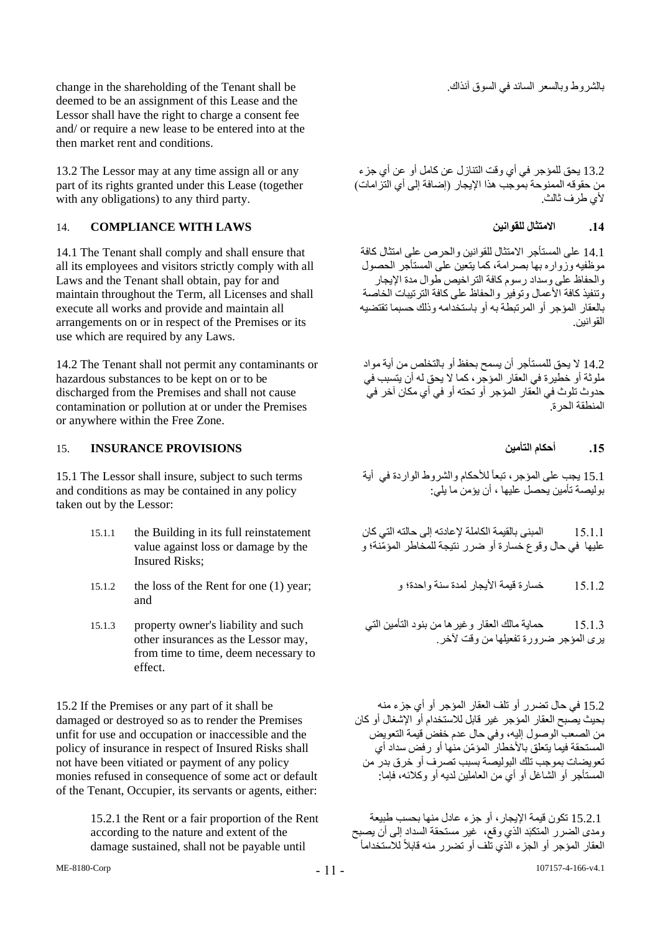change in the shareholding of the Tenant shall be .آنذاك السوق في السائد وبالسعر بالشروط deemed to be an assignment of this Lease and the Lessor shall have the right to charge a consent fee and/ or require a new lease to be entered into at the then market rent and conditions.

13.2 The Lessor may at any time assign all or any part of its rights granted under this Lease (together with any obligations) to any third party.

## 14. **COMPLIANCE WITH LAWS للقوانين االمتثال .14**

14.1 The Tenant shall comply and shall ensure that all its employees and visitors strictly comply with all Laws and the Tenant shall obtain, pay for and maintain throughout the Term, all Licenses and shall execute all works and provide and maintain all arrangements on or in respect of the Premises or its use which are required by any Laws.

14.2 The Tenant shall not permit any contaminants or hazardous substances to be kept on or to be discharged from the Premises and shall not cause contamination or pollution at or under the Premises or anywhere within the Free Zone.

## **.15 أحكام التأمين PROVISIONS INSURANCE** 15.

15.1 The Lessor shall insure, subject to such terms and conditions as may be contained in any policy taken out by the Lessor:

- 15.1.1 the Building in its full reinstatement value against loss or damage by the Insured Risks;
- 15.1.2 the loss of the Rent for one (1) year; و واحدة؛ سنة لمدة األيجار قيمة خسارة 15.1.2 and
- 15.1.3 property owner's liability and such other insurances as the Lessor may, from time to time, deem necessary to effect.

15.2 If the Premises or any part of it shall be damaged or destroyed so as to render the Premises unfit for use and occupation or inaccessible and the policy of insurance in respect of Insured Risks shall not have been vitiated or payment of any policy monies refused in consequence of some act or default of the Tenant, Occupier, its servants or agents, either:

> 15.2.1 the Rent or a fair proportion of the Rent according to the nature and extent of the damage sustained, shall not be payable until

13.2 يحق للمؤجر في أي وقت التنازل عن كامل أو عن أي جزء من حقوقه الممنوحة بموجب هذا الإيجار (إضافة إلى أي التزامات) ألي طرف ثالث.

14.1 على المستأجر االمتثال للقوانين والحرص على امتثال كافة موظفيه وزواره بها بصرامة، كما يتعين على المستأجر الحصول والحفاظ على وسداد رسوم كافة التراخيص طوال مدة اإليجار وتنفيذ كافة الأعمال وتوفير والحفاظ على كافة الترتيبات الخاصة بالعقار المؤجر أو المرتبطة به أو باستخدامه وذلك حسبما تقتضيه القوانين.

14.2 ال يحق للمستأجر أن يسمح بحفظ أو بالتخلص من أية مواد ملوثة أو خطيرة في العقار المؤجر، كما ال يحق له أن يتسبب في حدوث تلوث في العقار المؤجر أو تحته أو في أي مكان آخر في المنطقة الحرة.

15.1 يجب على المؤجر، تبعاً لألحكام والشروط الواردة في أية بوليصة تأمين يحصل عليها ، أن يؤمن ما يلي:

15.1.1 المبنى بالقيمة الكاملة إلعادته إلى حالته التي كان عليها في حال وقوع خسارة أو ضرر نتيجة للمخاطر المؤمّنة؛ و

15.1.3 حماية مالك العقار وغيرها من بنود التأمين التي يرى المؤجر ضرورة تفعيلها من وقت لآخر

15.2 في حال تضرر أو تلف العقار المؤجر أو أي جزء منه بحيث يصبح العقار المؤجر غير قابل لالستخدام أو اإلشغال أو كان من الصعب الوصول إليه، وفي حال عدم خفض قيمة التعويض المستحقة فيما يتعلق باألخطار المؤ ّمن منها أو رفض سداد أي تعويضات بموجب تلك البوليصة بسبب تصرف أو خرق بدر من المستأجر أو الشاغل أو أي من العاملين لديه أو وكالئه، فإما:

 15.2.1 تكون قيمة اإليجار، أو جزء عادل منها بحسب طبيعة ومدى الضرر المتكبَد الذي وقع، غير مستحقة السداد إلى أن يصبح العقار المؤجر أو الجزء الذي تُلف أو تضرر منه قابلاً للاستخداماً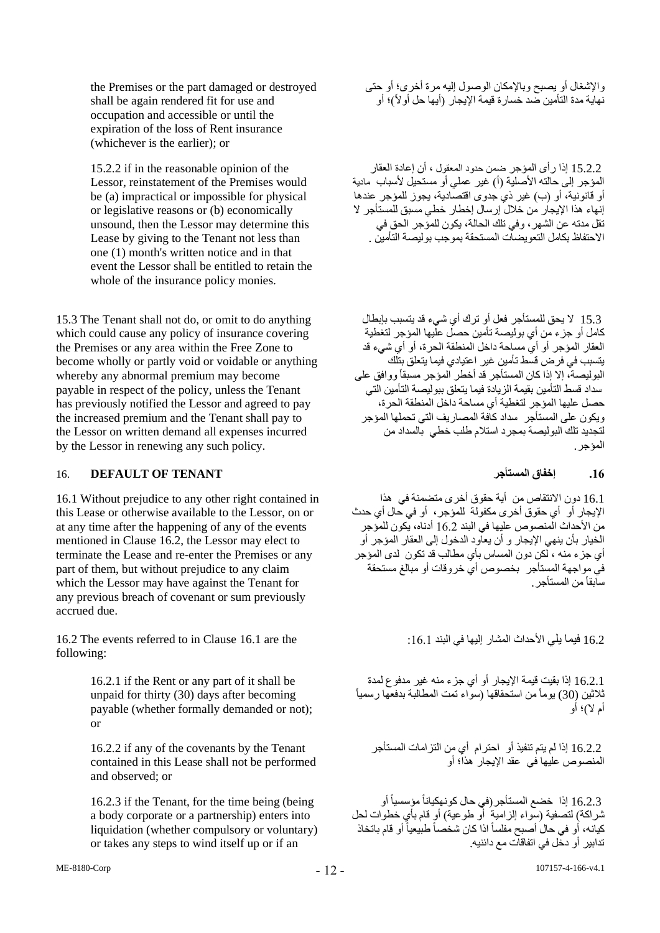the Premises or the part damaged or destroyed shall be again rendered fit for use and occupation and accessible or until the expiration of the loss of Rent insurance (whichever is the earlier); or

15.2.2 if in the reasonable opinion of the Lessor, reinstatement of the Premises would be (a) impractical or impossible for physical or legislative reasons or (b) economically unsound, then the Lessor may determine this Lease by giving to the Tenant not less than one (1) month's written notice and in that event the Lessor shall be entitled to retain the whole of the insurance policy monies.

15.3 The Tenant shall not do, or omit to do anything which could cause any policy of insurance covering the Premises or any area within the Free Zone to become wholly or partly void or voidable or anything whereby any abnormal premium may become payable in respect of the policy, unless the Tenant has previously notified the Lessor and agreed to pay the increased premium and the Tenant shall pay to the Lessor on written demand all expenses incurred by the Lessor in renewing any such policy.

## 16. **DEFAULT OF TENANT المستأجر إخفاق .16**

16.1 Without prejudice to any other right contained in this Lease or otherwise available to the Lessor, on or at any time after the happening of any of the events mentioned in Clause 16.2, the Lessor may elect to terminate the Lease and re-enter the Premises or any part of them, but without prejudice to any claim which the Lessor may have against the Tenant for any previous breach of covenant or sum previously accrued due.

16.2 فيما يلي الأحداث المشار البها في البند 16.1 :16.1 : 16.1 are the :16.1 البند في البند 16.1 .161 :16.1 البها في following:

16.2.1 if the Rent or any part of it shall be unpaid for thirty (30) days after becoming payable (whether formally demanded or not); or

16.2.2 if any of the covenants by the Tenant contained in this Lease shall not be performed and observed; or

16.2.3 if the Tenant, for the time being (being a body corporate or a partnership) enters into liquidation (whether compulsory or voluntary) or takes any steps to wind itself up or if an

واإلشغال أو يصبح وباإلمكان الوصول إليه مرة أخرى؛ أو حتى نهاية مدة التأمين صد خسارة قيمة الإيجار (أيها حل أولأ)؛ أو

 15.2.2 إذا رأى المؤجر ةمن حدود المعقول ، أن إعادة العقار المؤجر إلى حالته الأصلية (أ) غير عملي أو مستحيل لأسباب مادية أو قانونية، أو (ب) غير ذي جدوى اقتصادية، يجوز للمؤجر عندها إنهاء هذا اإليجار من خالل إرسال إخطار خطي مسبق للمستأجر ال تقل مدته عن الشهر، وفي تلك الحالة، يكون للمؤجر الحق في االحتفاظ بكامل التعويضات المستحقة بموجب بوليصة التأمين .

 15.3 ال يحق للمستأجر فعل أو ترك أي شيء قد يتسبب بإبطال كامل أو جزء من أي بوليصة تأمين حصل عليها المؤجر لتغطية العقار المؤجر أو أي مساحة داخل المنطقة الحرة، أو أي شيء قد يتسبب في فرض قسط تأمين غير اعتيادي فيما يتعلق بتلك البوليصة، إلا إذا كان المستأجر قد أخطر المؤجر مسبقاً ووافق على سداد قسط التأمين بقيمة الزيادة فيما يتعلق ببوليصة التأمين التي حصل عليها المؤجر لتغطية أي مساحة داخل المنطقة الحرة، ويكون على المستأجر سداد كافة المصاريف التي تحملها المؤجر لتجديد تلك البوليصة بمجرد استالم طلب خطي بالسداد من المؤجر.

16.1 دون االنتقاص من أية حقوق أخرى متضمنة في هذا اإليجار أو أي حقوق أخرى مكفولة للمؤجر، أو في حال أي حدث من الأحداث المنصوص عليها في البند 16.2 أدناه، يكون للمؤجر الخيار بأن ينهي اإليجار و أن يعاود الدخول إلى العقار المؤجر أو أي جزء منه ، لكن دون المساس بأي مطالب قد تكون لدى المؤجر في مواجهة المستأجر بخصوص أي خروقات أو مبالغ مستحقة سابقاًمن المستأجر.

16.2.1 إذا بقيت قيمة اإليجار أو أي جزء منه غير مدفوع لمدة ثالثين (30) يوماًمن استحقاقها )سواء تمت المطالبة بدفعها رسمياً أم لا)؛ أو

 16.2.2 إذا لم يتم تنفيذ أو احترام أي من التزامات المستأجر المنصوص عليها في عقد اإليجار هذا؛ أو

 16.2.3 إذا خضع المستأجر)في حال كونهكياناًمؤسسياً أو ثىراكة) لتصفية (سواء الزامية أو طوعية) أو قام بأي خطوات لحل كيانه، أو في حال أصبح مفلساً اذا كان شخصاً طبيعياً أو قام باتخاذ تدابير أو دخل في اتفاقات مع دائنيه.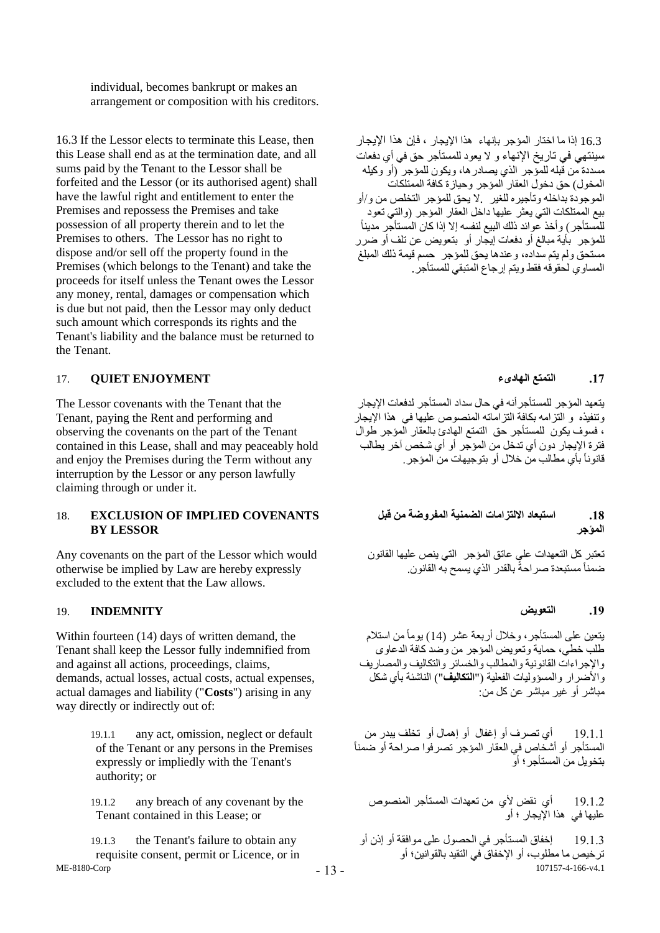individual, becomes bankrupt or makes an arrangement or composition with his creditors.

16.3 If the Lessor elects to terminate this Lease, then this Lease shall end as at the termination date, and all sums paid by the Tenant to the Lessor shall be forfeited and the Lessor (or its authorised agent) shall have the lawful right and entitlement to enter the Premises and repossess the Premises and take possession of all property therein and to let the Premises to others. The Lessor has no right to dispose and/or sell off the property found in the Premises (which belongs to the Tenant) and take the proceeds for itself unless the Tenant owes the Lessor any money, rental, damages or compensation which is due but not paid, then the Lessor may only deduct such amount which corresponds its rights and the Tenant's liability and the balance must be returned to the Tenant.

### **.17 التمتع الهادىء ENJOYMENT QUIET** 17.

The Lessor covenants with the Tenant that the Tenant, paying the Rent and performing and observing the covenants on the part of the Tenant contained in this Lease, shall and may peaceably hold and enjoy the Premises during the Term without any interruption by the Lessor or any person lawfully claiming through or under it.

### 18. **EXCLUSION OF IMPLIED COVENANTS BY LESSOR**

Any covenants on the part of the Lessor which would otherwise be implied by Law are hereby expressly excluded to the extent that the Law allows.

### **.19 التعويض INDEMNITY** 19.

Within fourteen (14) days of written demand, the Tenant shall keep the Lessor fully indemnified from and against all actions, proceedings, claims, demands, actual losses, actual costs, actual expenses, actual damages and liability ("**Costs**") arising in any way directly or indirectly out of:

> 19.1.1 any act, omission, neglect or default of the Tenant or any persons in the Premises expressly or impliedly with the Tenant's authority; or

19.1.2 any breach of any covenant by the Tenant contained in this Lease; or

ME-8180-Corp 19.1.3 the Tenant's failure to obtain any requisite consent, permit or Licence, or in

- 13 -

 16.3 إذا ما اختار المؤجر بإنهاء هذا اإليجار ، فإن هذا اإليجار سينتهي في تاريخ اإلنهاء و ال يعود للمستأجر حق في أي دفعات مسددة من قبله للمؤجر الذي يصادرها، ويكون للمؤجر )أو وكيله المخول) حق دخول العقار المؤجر وحيازة كافة الممتلكات الموجودة بداخله وتأجيره للغير .ال يحق للمؤجر التخلص من و/أو بيع الممتلكات التي يعثر عليها داخل العقار المؤجر (والتي تعود للمستأجر) وأخذ عوائد ذلك البيع لنفسه إلاّ إذا كان المستأجر مديناً للمؤجر بأية مبالغ أو دفعات إيجار أو بتعويض عن تلف أو ضرر مستحق ولم يتم سداده، وعندها يحق للمؤجر حسم قيمة ذلك المبلغ المساوي لحقوقه فقط ويتم إرجاع المتبقي للمستأجر.

يتعهد المؤجر للمستأجرأنه في حال سداد المستأجر لدفعات اإليجار .<br>وتنفيذه و التزامه بكافة التزاماته المنصوص عليها في هذا الإيجار ، فسوف يكون للمستأجر حق التمتع الهادئ بالعقار المؤجر طوال فترة اإليجار دون أي تدخل من المؤجر أو أي شخص آخر يطالب قانوناً بأي مطالب من خالل أو بتوجيهات من المؤجر.

## **.18 استبعاد االلتزامات الضمنية المفروضة من قبل المؤجر**

تعتبر كل التعهدات على عاتق المؤجر التي ينص عليها القانون ضمناً مستبعدة صر احةً بالقدر الذي يسمح به القانون.

يتعين على المستأجر، وخالل أربعة عشر )14( يوماًمن استالم طلب خطي، حماية وتعويض المؤجر من وصد كافة الدعاوى واإلجراءات القانونية والمطالب والخسائر والتكاليف والمصاريف والأضرار والمسؤوليات الفعلية ("**التكاليف**") الناشئة بأي شكل مباشر أو غير مباشر عن كل من:

19.1.1 أي تصرف أو إغفال أو إهمال أو تخلف يبدر من المستأجر أو أشخاص في العقار المؤجر تصرفوا صراحة أو ضمناً بتخويل من المستأجر؛ أو

19.1.2 أي نقض ألي من تعهدات المستأجر المنصوص عليها في هذا اإليجار ؛ أو

107157-4-166-v4.1 19.1.3 إخفاق المستأجر في الحصول على موافقة أو إذن أو ترخيص ما مطلوب، أو اإلخفاق في التقيد بالقوانين؛ أو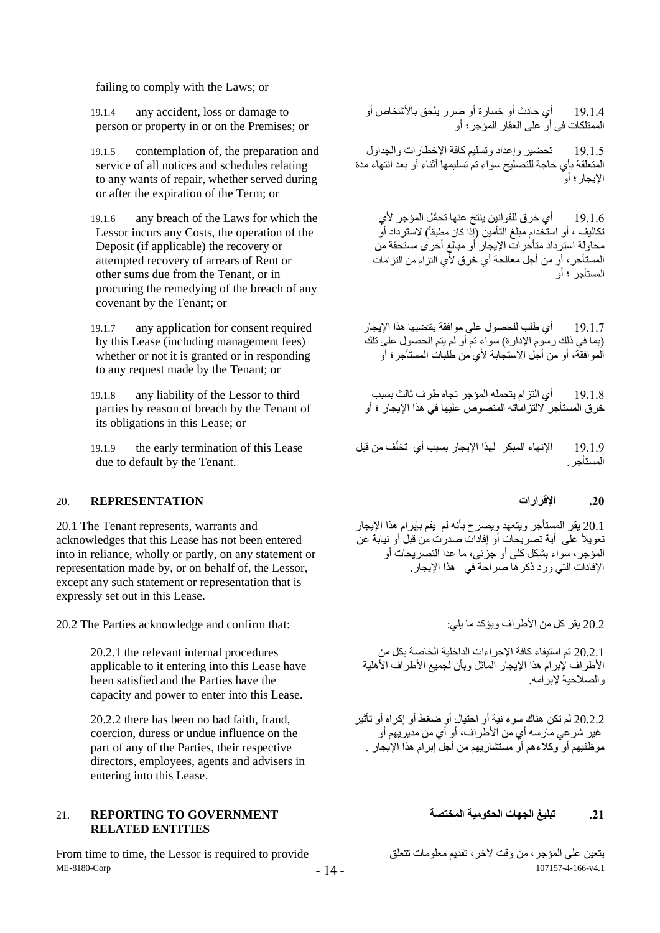failing to comply with the Laws; or

19.1.4 any accident, loss or damage to person or property in or on the Premises; or

19.1.5 contemplation of, the preparation and service of all notices and schedules relating to any wants of repair, whether served during or after the expiration of the Term; or

19.1.6 any breach of the Laws for which the Lessor incurs any Costs, the operation of the Deposit (if applicable) the recovery or attempted recovery of arrears of Rent or other sums due from the Tenant, or in procuring the remedying of the breach of any covenant by the Tenant; or

19.1.7 any application for consent required by this Lease (including management fees) whether or not it is granted or in responding to any request made by the Tenant; or

19.1.8 any liability of the Lessor to third parties by reason of breach by the Tenant of its obligations in this Lease; or

19.1.9 the early termination of this Lease due to default by the Tenant.

### **.20 اإلقرارات REPRESENTATION** 20.

20.1 The Tenant represents, warrants and acknowledges that this Lease has not been entered into in reliance, wholly or partly, on any statement or representation made by, or on behalf of, the Lessor, except any such statement or representation that is expressly set out in this Lease.

20.2 يقر كل من الأطراف ويؤكد ما يلي: : :the Parties acknowledge and confirm that:

20.2.1 the relevant internal procedures applicable to it entering into this Lease have been satisfied and the Parties have the capacity and power to enter into this Lease.

20.2.2 there has been no bad faith, fraud, coercion, duress or undue influence on the part of any of the Parties, their respective directors, employees, agents and advisers in entering into this Lease.

## **.21 تبليغ الجهات الحكومية المختصة GOVERNMENT TO REPORTING** 21. **RELATED ENTITIES**

ME-8180-Corp From time to time, the Lessor is required to provide تتعلق معلومات تقديم ،آلخر وقت من ،المؤجر على يتعين

19.1.4 أي حادث أو خسارة أو ةرر يلحق باألشخاص أو الممتلكات في أو على العقار المؤجر؛ أو

19.1.5 تحضير وإعداد وتسليم كافة اإلخطارات والجداول المتعلقة بأي حاجة للتصليح سواء تم تسليمها أثناء أو بعد انتهاء مدة اإليجار؛ أو

19.1.6 أي خرق للقوانين ينتج عنها تح ُّمل المؤجر ألي تكاليف ، أو استخدام مبلغ التأمين (إذا كان مطبقاً) لاسترداد أو محاولة استرداد متأخرات اإليجار أو مبالغ أخرى مستحقة من المستأجر، أو من أجل معالجة أي خرق ألي التزام من التزامات المستأجر ؛ أو

19.1.7 أي طلب للحصول على موافقة يقتضيها هذا اإليجار )بما في ذلك رسوم اإلدارة( سواء تم أو لم يتم الحصول على تلك الموافقة، أو من أجل االستجابة ألي من طلبات المستأجر؛ أو

19.1.8 أي التزام يتحمله المؤجر تجاه طرف ثالث بسبب خرق المستأجر اللتزاماته المنصوص عليها في هذا اإليجار ؛ أو

19.1.9 الإنهاء المبكر لهذا الإيجار بسبب أي تخلّف من قبل المستأجر.

20.1 يقر المستأجر ويتعهد ويصرح بأنه لم يقم بإبرام هذا اإليجار تعويالً على أية تصريحات أو إفادات صدرت من قبل أو نيابة عن المؤجر، سواء بشكل كلي أو جزئي، ما عدا التصريحات أو اإلفادات التي ورد ذكرها صراحة في هذا اإليجار.

20.2.1 تم استيفاء كافة اإلجراءات الداخلية الخاصة بكل من األطراف إلبرام هذا اإليجار الماثل وبأن لجميع األطراف األهلية والصالحية إلبرامه.

20.2.2 لم تكن هناك سوء نية أو احتيال أو ضغط أو إكراه أو تأثير غير شرعي مارسه أي من الأطراف، أو أي من مديريهم أو موظفيهم أو وكالءهم أو مستشاريهم من أجل إبرام هذا اإليجار .

107157-4-166-v4.1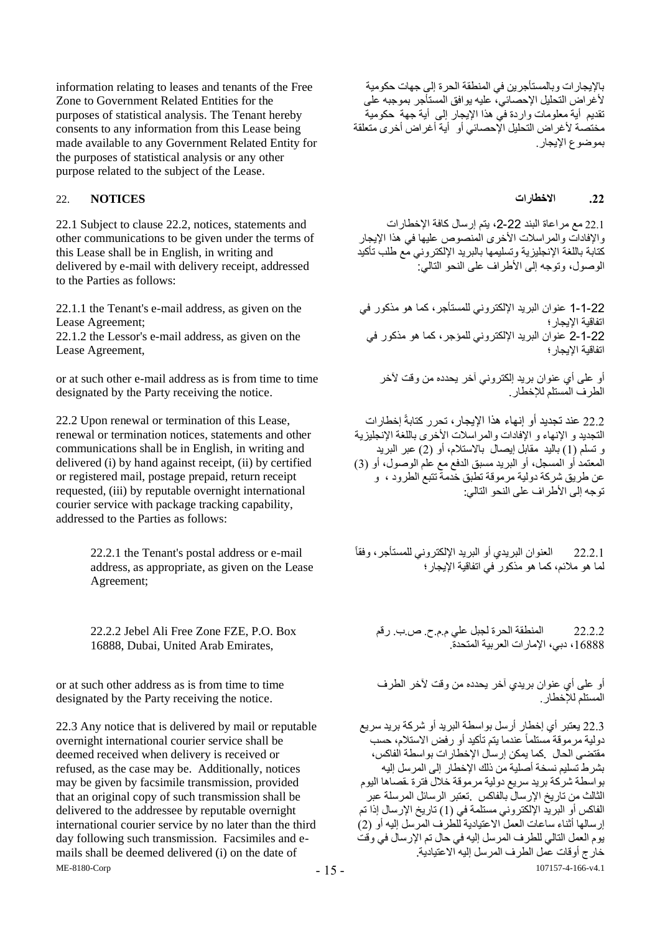information relating to leases and tenants of the Free Zone to Government Related Entities for the purposes of statistical analysis. The Tenant hereby consents to any information from this Lease being made available to any Government Related Entity for the purposes of statistical analysis or any other purpose related to the subject of the Lease.

### **.22 االخطارات NOTICES** 22.

22.1 Subject to clause 22.2, notices, statements and other communications to be given under the terms of this Lease shall be in English, in writing and delivered by e-mail with delivery receipt, addressed to the Parties as follows:

22.1.1 the Tenant's e-mail address, as given on the Lease Agreement;

22.1.2 the Lessor's e-mail address, as given on the Lease Agreement,

or at such other e-mail address as is from time to time designated by the Party receiving the notice.

22.2 Upon renewal or termination of this Lease, renewal or termination notices, statements and other communications shall be in English, in writing and delivered (i) by hand against receipt, (ii) by certified or registered mail, postage prepaid, return receipt requested, (iii) by reputable overnight international courier service with package tracking capability, addressed to the Parties as follows:

> 22.2.1 the Tenant's postal address or e-mail address, as appropriate, as given on the Lease Agreement;

22.2.2 Jebel Ali Free Zone FZE, P.O. Box 16888, Dubai, United Arab Emirates,

or at such other address as is from time to time designated by the Party receiving the notice.

ME-8180-Corp 22.3 Any notice that is delivered by mail or reputable overnight international courier service shall be deemed received when delivery is received or refused, as the case may be. Additionally, notices may be given by facsimile transmission, provided that an original copy of such transmission shall be delivered to the addressee by reputable overnight international courier service by no later than the third day following such transmission. Facsimiles and emails shall be deemed delivered (i) on the date of

باإليجارات وبالمستأجرين في المنطقة الحرة إلى جهات حكومية ألغراض التحليل اإلحصائي، عليه يوافق المستأجر بموجبه على تقديم أية معلومات واردة في هذا اإليجار إلى أية جهة حكومية مختصة لأغراض التحليل الإحصائي أو أية أغراض أخرى متعلقة بموضوع الإبجار

22.1 مع مراعاة البند 22-2، يتم إرسال كافة الإخطارات والإفادات والمراسلات الأخرى المنصوص عليها في هذا الإيجار كتابة باللغة اإلنجليزية وتسليمها بالبريد اإللكتروني مع طلب تأكيد الوصول، وتوجه إلى الأطراف على النحو التالي:

1-1-22 عنوان البريد اإللكتروني للمستأجر، كما هو مذكور في اتفاقية اإليجار؛ 2-1-22 عنوان البريد اإللكتروني للمؤجر، كما هو مذكور في اتفاقية اإليجار؛

أو على أي عنوان بريد إلكتروني آخر يحدده من وقت آلخر الطرف المستلم لإلخطار.

22.2 عند تجديد أو إنهاء هذا اإليجار، تحرر كتابةً إخطارات التجديد و الإنهاء و الإفادات والمراسلات الأخرى باللغة الإنجليزية و تسلم (1) باليد مقابل إيصال بالاستلام، أو (2) عبر البريد المعتمد أو المسجل، أو البريد مسبق الدفع مع علم الوصول، أو (3) عن طريق شركة دولية مرموقة تطبق خدمة تتبع الطرود ، و توجه إلى األطراف على النحو التالي:

22.2.1 العنوان البريدي أو البريد اإللكتروني للمستأجر، وفقاً لما هو مالئم، كما هو مذكور في اتفاقية اإليجار؛

22.2.2 المنطقة الحرة لجبل علي م.م.ح. ص.ب. رقم ،16888 دبي، اإلمارات العربية المتحدة.

أو على أي عنوان بريدي آخر يحدده من وقت آلخر الطرف المستلم لإلخطار.

107157-4-166-v4.1 22.3 يعتبر أي إخطار أرسل بواسطة البريد أو شركة بريد سريع دولية مرموقة مستلماً عندما يتم تأكيد أو رفض االستالم، حسب مقتضى الحال .كما يمكن إرسال اإلخطارات بواسطة الفاكس، بشرط تسليم نسخة أصلية من ذلك اإلخطار إلى المرسل إليه بواسطة شركة بريد سريع دولية مرموقة خالل فترة مقصاها اليوم الثالث من تاريخ اإلرسال بالفاكس .تعتبر الرسائل المرسلة عبر الفاكس أو البريد الإلكتروني مستلمة في (1) تاريخ الإرسال إذا تم إرسالها أثناء ساعات العمل االعتيادية للطرف المرسل إليه أو )2( يوم العمل التالي للطرف المرسل إليه في حال تم اإلرسال في وقت خارج أوقات عمل الطرف المرسل إليه االعتيادية.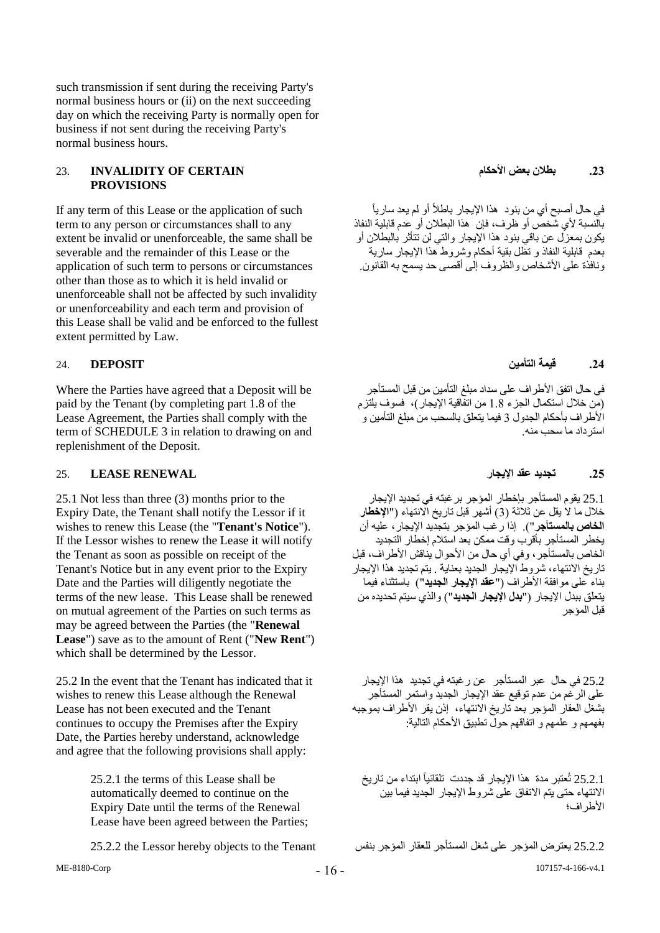such transmission if sent during the receiving Party's normal business hours or (ii) on the next succeeding day on which the receiving Party is normally open for business if not sent during the receiving Party's normal business hours.

### **.23 بطالن بعض األحكام CERTAIN OF INVALIDITY** 23. **PROVISIONS**

If any term of this Lease or the application of such term to any person or circumstances shall to any extent be invalid or unenforceable, the same shall be severable and the remainder of this Lease or the application of such term to persons or circumstances other than those as to which it is held invalid or unenforceable shall not be affected by such invalidity or unenforceability and each term and provision of this Lease shall be valid and be enforced to the fullest extent permitted by Law.

Where the Parties have agreed that a Deposit will be paid by the Tenant (by completing part 1.8 of the Lease Agreement, the Parties shall comply with the term of SCHEDULE 3 in relation to drawing on and replenishment of the Deposit.

### <span id="page-15-0"></span>**.25 تجديد عقد اإليجار RENEWAL LEASE** 25.

25.1 Not less than three (3) months prior to the Expiry Date, the Tenant shall notify the Lessor if it wishes to renew this Lease (the "**Tenant's Notice**"). If the Lessor wishes to renew the Lease it will notify the Tenant as soon as possible on receipt of the Tenant's Notice but in any event prior to the Expiry Date and the Parties will diligently negotiate the terms of the new lease. This Lease shall be renewed on mutual agreement of the Parties on such terms as may be agreed between the Parties (the "**Renewal Lease**") save as to the amount of Rent ("**New Rent**") which shall be determined by the Lessor.

25.2 In the event that the Tenant has indicated that it wishes to renew this Lease although the Renewal Lease has not been executed and the Tenant continues to occupy the Premises after the Expiry Date, the Parties hereby understand, acknowledge and agree that the following provisions shall apply:

> 25.2.1 the terms of this Lease shall be automatically deemed to continue on the Expiry Date until the terms of the Renewal Lease have been agreed between the Parties;

في حال أصبح أي من بنود هذا الإيجار باطلاً أو لم يعد سارياً بالنسبة ألي شخص أو ظرف، فإن هذا البطالن أو عدم قابلية النفاذ يكون بمعزل عن باقي بنود هذا اإليجار والتي لن تتأثر بالبطالن أو بعدم قابلية النفاذ و تظل بقية أحكام وشروط هذا اإليجار سارية ونافذة على الأشخاص والظروف إلى أقصى حد يسمح به القانون.

## **.24 قيمة التأمين DEPOSIT** 24.

في حال اتفق الأطراف على سداد مبلغ التأمين من قبل المستأجر )من خالل استكمال الجزء 1.8 من اتفاقية اإليجار(، فسوف يلتزم األطراف بأحكام الجدول 3 فيما يتعلق بالسحب من مبلغ التأمين و استرداد ما سحب منه.

25.1 يقوم المستأجر بإخطار المؤجر برغبته في تجديد اإليجار خالل ما ال يقل عن ثالثة )3( أشهر قبل تاريخ االنتهاء )"**اإلخطار الخاص بالمستأجر**"(. إذا رغب المؤجر بتجديد اإليجار، عليه أن يخطر المستأجر بأقرب وقت ممكن بعد استالم إخطار التجديد الخاص بالمستأجر ، وفي أي حال من الأحوال يناقش الأطراف، قبل تاريخ االنتهاء، شروط اإليجار الجديد بعناية . يتم تجديد هذا اإليجار بناء على موافقة األطراف )"**عقد اإليجار الجديد**"( باستثناء فيما يتعلق ببدل اإليجار )"**بدل اإليجار الجديد**"( والذي سيتم تحديده من قبل المؤجر

25.2 في حال عبر المستأجر عن رغبته في تجديد هذا اإليجار على الرغم من عدم توقيع عقد اإليجار الجديد واستمر المستأجر بشغل العقار المؤجر بعد تاريخ االنتهاء، إذن يقر األطراف بموجبه بفهمهم و علمهم و اتفاقهم حولٌ تطبيق الأحكام التالية:

25.2.1 تُعتبر مدة هذا الإيجار قد جددت تلقائياً ابتداء من تاريخ االنتهاء حتى يتم االتفاق على شروط اإليجار الجديد فيما بين األطراف؛

25.2.2 يعترض المؤجر على شغل المستأجر للعقار المؤجر بنفس Tenant the to objects hereby Lessor the 25.2.2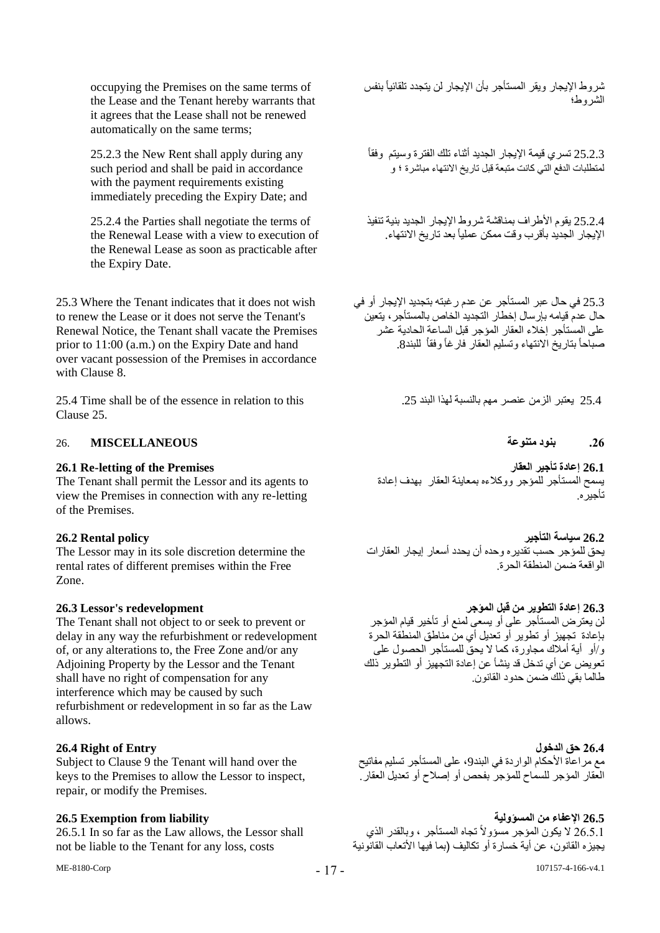occupying the Premises on the same terms of the Lease and the Tenant hereby warrants that it agrees that the Lease shall not be renewed automatically on the same terms;

25.2.3 the New Rent shall apply during any such period and shall be paid in accordance with the payment requirements existing immediately preceding the Expiry Date; and

25.2.4 the Parties shall negotiate the terms of the Renewal Lease with a view to execution of the Renewal Lease as soon as practicable after the Expiry Date.

25.3 Where the Tenant indicates that it does not wish to renew the Lease or it does not serve the Tenant's Renewal Notice, the Tenant shall vacate the Premises prior to 11:00 (a.m.) on the Expiry Date and hand over vacant possession of the Premises in accordance with Clause [8.](#page-6-0)

25.4 Time shall be of the essence in relation to this .25 البند لهذا بالنسبة مهم عنصر الزمن يعتبر 25.4 Clause [25.](#page-15-0)

## **.26 بنود متنوعة MISCELLANEOUS** 26.

The Tenant shall permit the Lessor and its agents to view the Premises in connection with any re-letting of the Premises.

The Lessor may in its sole discretion determine the rental rates of different premises within the Free Zone.

The Tenant shall not object to or seek to prevent or delay in any way the refurbishment or redevelopment of, or any alterations to, the Free Zone and/or any Adjoining Property by the Lessor and the Tenant shall have no right of compensation for any interference which may be caused by such refurbishment or redevelopment in so far as the Law allows.

Subject to Clause [9](#page-7-0) the Tenant will hand over the keys to the Premises to allow the Lessor to inspect, repair, or modify the Premises.

26.5.1 In so far as the Law allows, the Lessor shall not be liable to the Tenant for any loss, costs

ME-8180-Corp

شروط اإليجار ويقر المستأجر بأن اإليجار لن يتجدد تلقائياً بنفس الشروط؛

25.2.3 تسري قيمة اإليجار الجديد أثناء تلك الفترة وسيتم وفقاً لمتطلبات الدفع التي كانت متبعة قبل تاريخ االنتهاء مباشرة ؛ و

25.2.4 يقوم األطراف بمناقشة شروط اإليجار الجديد بنية تنفيذ الإيجار الجديد بأقرب وقت ممكن عملياً بعد تار يخ الانتهاء

25.3 في حال عبر المستأجر عن عدم رغبته بتجديد اإليجار أو في حال عدم قيامه بإرسال إخطار التجديد الخاص بالمستأجر، يتعين على المستأجر إخالء العقار المؤجر قبل الساعة الحادية عشر صباحاً بتاريخ االنتهاء وتسليم العقار فارغاً وفقاُ للبند.8

**26.1 Re-letting of the Premises العقار تأجير إعادة 26.1** يسمح المستأجر للمؤجر ووكالءه بمعاينة العقار بهدف إعادة تأجيره.

**26.2 سياسة التأجير policy Rental 26.2** يحق للمؤجر حسب تقديره وحده أن يحدد أسعار إيجار العقارات .<br>الو اقعة ضمن المنطقة الحر ة

**26.3 إعادة التطوير من قبل المؤجر redevelopment s'Lessor 26.3** لن يعترض المستأجر على أو يسعى لمنع أو تأخير قيام المؤجر بإعادة تجهيز أو تطوير أو تعديل أي من مناطق المنطقة الحرة و/أو أية أمالك مجاورة، كما ال يحق للمستأجر الحصول على تعويض عن أي تدخل قد ينشأ عن إعادة التجهيز أو التطوير ذلك طالما بقي ذلك ّصمن حدو د القانون.

**26.4 Right of Entry الدخول حق 26.4** مع مراعاة الأحكام الواردة في البند9، على المستأجر تسليم مفاتيح العقار المؤجر للسماح للمؤجر بفحص أو إصالح أو تعديل العقار.

**26.5 اإلعفاء من المسؤولية liability from Exemption 26.5** 26.5.1 لا يكون المؤجر مسؤولاً تجاه المستأجر ، وبالقدر الذي يجيزه القانون، عن أية خسارة أو تكاليف (بما فيها الأتعاب القانونية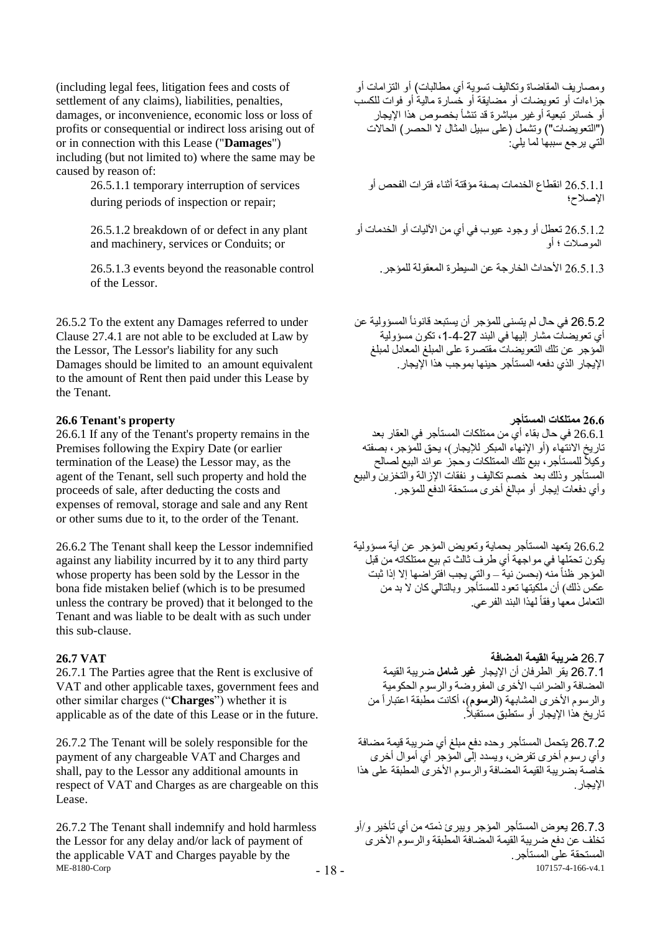(including legal fees, litigation fees and costs of settlement of any claims), liabilities, penalties, damages, or inconvenience, economic loss or loss of profits or consequential or indirect loss arising out of or in connection with this Lease ("**Damages**") including (but not limited to) where the same may be caused by reason of:

> 26.5.1.1 temporary interruption of services during periods of inspection or repair;

26.5.1.2 breakdown of or defect in any plant and machinery, services or Conduits; or

of the Lessor.

26.5.2 To the extent any Damages referred to under Clause 27.4.1 are not able to be excluded at Law by the Lessor, The Lessor's liability for any such Damages should be limited to an amount equivalent to the amount of Rent then paid under this Lease by the Tenant.

26.6.1 If any of the Tenant's property remains in the Premises following the Expiry Date (or earlier termination of the Lease) the Lessor may, as the agent of the Tenant, sell such property and hold the proceeds of sale, after deducting the costs and expenses of removal, storage and sale and any Rent or other sums due to it, to the order of the Tenant.

26.6.2 The Tenant shall keep the Lessor indemnified against any liability incurred by it to any third party whose property has been sold by the Lessor in the bona fide mistaken belief (which is to be presumed unless the contrary be proved) that it belonged to the Tenant and was liable to be dealt with as such under this sub-clause.

26.7.1 The Parties agree that the Rent is exclusive of VAT and other applicable taxes, government fees and other similar charges ("**Charges**") whether it is applicable as of the date of this Lease or in the future.

26.7.2 The Tenant will be solely responsible for the payment of any chargeable VAT and Charges and shall, pay to the Lessor any additional amounts in respect of VAT and Charges as are chargeable on this Lease.

ME-8180-Corp 26.7.2 The Tenant shall indemnify and hold harmless the Lessor for any delay and/or lack of payment of the applicable VAT and Charges payable by the

ومصاريف المقاضاة وتكاليف تسوية أي مطالبات) أو التزامات أو جزاءات أو تعويضات أو مضايقة أو خسارة مالية أو فوات للكسب أو خسائر تبعية أوغير مباشرة قد تنشأ بخصوص هذا اإليجار )"التعويضات"( وتشمل )على سبيل المثال ال الحصر( الحاالت ر<br>التي يرجع سببها لما يلي*:* 

26.5.1.1 انقطاع الخدمات بصفة مؤقتة أثناء فترات الفحص أو اإلصالح؛

26.5.1.2 تعطل أو وجود عيوب في أي من اآلليات أو الخدمات أو الموصالت ؛ أو

26.5.1.3 األحداث الخارجة عن السيطرة المعقولة للمؤجر. control reasonable the beyond events 26.5.1.3

26.5.2 في حال لم يتسنى للمؤجر أن يستبعد قانوناً المسؤولية عن أي تعويضات مشار إليها في البند ،1-4-27 تكون مسؤولية المؤجر عن تلك التعويضات مقتصرة على المبلغ المعادل لمبلغ اإليجار الذي دفعه المستأجر حينها بموجب هذا اإليجار.

**26.6 Tenant's property المستأجر ممتلكات 26.6** 26.6.1 في حال بقاء أي من ممتلكات المستأجر في العقار بعد تاريخ الانتهاء (أو الإنهاء المبكر للإيجار)، يحق للمؤجر، بصفته وكيلاً للمستأجر ، بيع تلك الممتلكات وحجز عوائد البيع لصالح المستأجر وذلك بعد خصم تكاليف و نفقات اإلزالة والتخزين والبيع وأي دفعات إيجار أو مبالغ أخرى مستحقة الدفع للمؤجر.

> 26.6.2 يتعهد المستأجر بحماية وتعويض المؤجر عن أية مسؤولية يكون تح ّملها في مواجهة أي طرف ثالث تم بيع ممتلكاته من قبل المؤجر ظناً منه (بحسن نية – والتي يجب افتر اضها إلا إذا ثبت عكس ذلك) أن ملكيتها تعود للمستأجر وبالتالي كان لا بد من التعامل معها وفقاً لمهذا البند الفر عي.

26.7 **ضريبة القيمة المضافة VAT 26.7** 26.7.1 يقر الطرفان أن اإليجار **غير شامل** ةريبة القيمة المضافة والضر ائب الأخرى المفر وضنة والرسوم الحكومية والرسوم الأخرى المشابهة (ا**لرسوم**)، أكانت مطبقة اعتباراً من تاريخ هذا الإيجار أو ستطبق مستقبلاً.

> 26.7.2 يتحمل المستأجر وحده دفع مبلغ أي ضريبة قيمة مضافة وأي رسوم أخرى تفرض، ويسدد إلى المؤجر أي أموال أخرى خاصة بضريبة القيمة المضافة والرسوم األخرى المطبقة على هذا الإيجار .

107157-4-166-v4.1 26.7.3 يعوض المستأجر المؤجر ويبرئ ذمته من أي تأخير و/أو تخلف عن دفع ضريبة القيمة المضافة المطبقة والرسوم الأخرى المستحقة على المستأجر.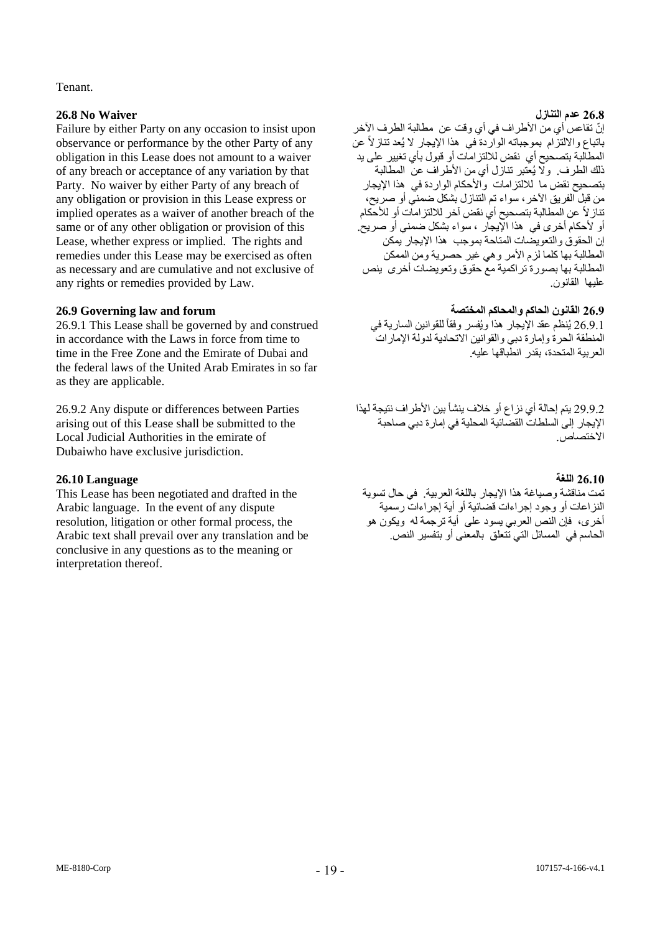### Tenant.

### **26.8 عدم التنازل Waiver No 26.8**

Failure by either Party on any occasion to insist upon observance or performance by the other Party of any obligation in this Lease does not amount to a waiver of any breach or acceptance of any variation by that Party. No waiver by either Party of any breach of any obligation or provision in this Lease express or implied operates as a waiver of another breach of the same or of any other obligation or provision of this Lease, whether express or implied. The rights and remedies under this Lease may be exercised as often as necessary and are cumulative and not exclusive of any rights or remedies provided by Law.

26.9.1 This Lease shall be governed by and construed in accordance with the Laws in force from time to time in the Free Zone and the Emirate of Dubai and the federal laws of the United Arab Emirates in so far as they are applicable.

26.9.2 Any dispute or differences between Parties arising out of this Lease shall be submitted to the Local Judicial Authorities in the emirate of Dubaiwho have exclusive jurisdiction.

### **26.10 اللغة Language 26.10**

This Lease has been negotiated and drafted in the Arabic language. In the event of any dispute resolution, litigation or other formal process, the Arabic text shall prevail over any translation and be conclusive in any questions as to the meaning or interpretation thereof.

إنّ تقاعس أي من الأطراف في أي وقت عن مطالبة الطرف الآخر باتباع والالتزام بموجباته الواردة في هذا الإيجار لا يُعد تنازلاً عن المطالبة بتصحيح أي نقض لاللتزامات أو قبول بأي تغيير على يد ذلك الطرف. وال يُعتبر تنازل أي من األطراف عن المطالبة بتصحيح نقض ما لاللتزامات واألحكام الواردة في هذا اإليجار من قبل الفريق الآخر، سواء تم التنازل بشكل ضمني أو صريح، تنازالً عن المطالبة بتصحيح أي نقض آخر لاللتزامات أو لألحكام أو لأحكام أخرى في هذا الإيجار ، سواء بشكل ضمني أو صريح. إن الحقوق والتعويضات المتاحة بموجب هذا اإليجار يمكن المطالبة بها كلما لزم الأمر وهي غير حصرية ومن الممكن المطالبة بها بصورة تراكمية مع حقوق وتعويضات أخرى ينص عليها القانون.

### **26.9 القانون الحاكم والمحاكم المختصة forum and law Governing 26.9**

26.9.1 يُنظم عقد الإيجار هذا ويُفسر وفقاً للقوانين السارية في المنطقة الحرة وإمارة دبي والقوانين االتحادية لدولة اإلمارات العربية المتحدة، بقدر انطباقها عليه.

29.9.2 يتم إحالة أي نزاع أو خالف ينشأ بين األطراف نتيجة لهذا اإليجار إلى السلطات القضائية المحلية في إمارة دبي صاحبة االختصاص.

تمت مناقشة وصياغة هذا اإليجار باللغة العربية. في حال تسوية النزاعات أو وجود إجراءات قضائية أو أية إجراءات رسمية أخرى، فإن النص العربي يسود على أية ترجمة له ويكون هو الحاسم في المسائل التي تتعلق بالمعنى أو بتفسير النص.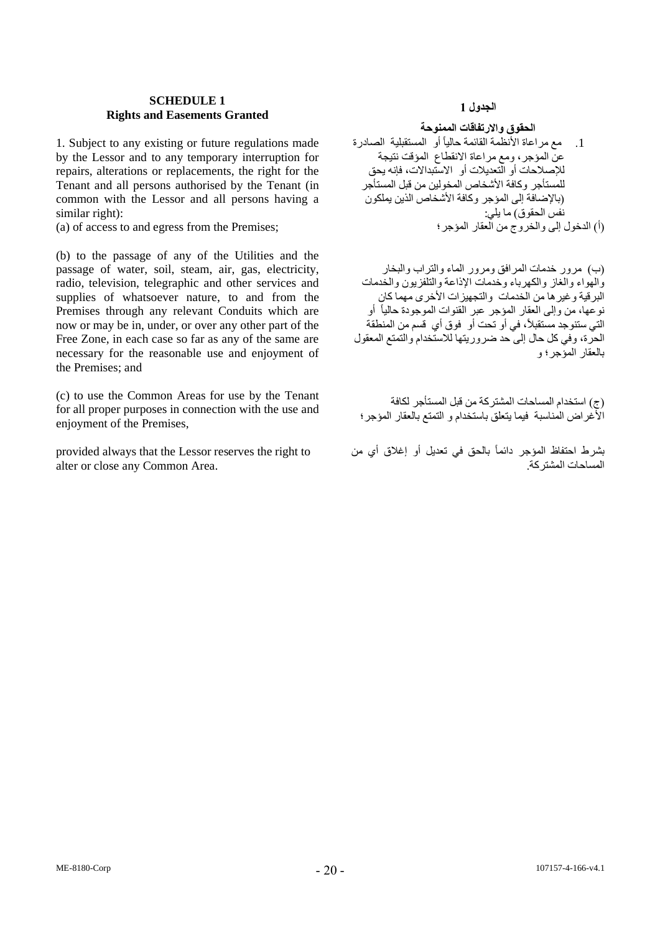### **SCHEDULE 1 Rights and Easements Granted**

1. Subject to any existing or future regulations made by the Lessor and to any temporary interruption for repairs, alterations or replacements, the right for the Tenant and all persons authorised by the Tenant (in common with the Lessor and all persons having a similar right):

(a) of access to and egress from the Premises:

(b) to the passage of any of the Utilities and the passage of water, soil, steam, air, gas, electricity, radio, television, telegraphic and other services and supplies of whatsoever nature, to and from the Premises through any relevant Conduits which are now or may be in, under, or over any other part of the Free Zone, in each case so far as any of the same are necessary for the reasonable use and enjoyment of the Premises; and

(c) to use the Common Areas for use by the Tenant for all proper purposes in connection with the use and enjoyment of the Premises,

provided always that the Lessor reserves the right to alter or close any Common Area.

## **الجدول 1**

**الحقوق واالرتفاقات الممنوحة**

.1 مع مراعاة األنظمة القائمة حالياً أو المستقبلية الصادرة عن المؤجر، ومع مراعاة االنقطاع المؤقت نتيجة لإلصالحات أو التعديالت أو االستبداالت، فإنه يحق للمستأجر وكافة األشخاص المخولين من قبل المستأجر )باإلةافة إلى المؤجر وكافة األشخاص الذين يملكون نفُس الحقوق) ما يلي:<br>(أ) الدخول الي والخر وج من العقار المؤجر ؛

)ب( مرور خدمات المرافق ومرور الماء والتراب والبخار والهواء والغاز والكهرباء وخدمات اإلذاعة والتلفزيون والخدمات البرقية وغير ها من الخدمات والتجهيز ات الأخرى مهما كان نوعها، من وإلى العقار المؤجر عبر القنوات الموجودة حالياً أو التي ستنوجد مستقبلاً، في أو تحت أو فوق أي قسم من المنطقة الحرة، وفي كل حال إلى حد ضروريتها للاستخدام والتمتع المعقول بالعقار المؤجر؛ و

)ج( استخدام المساحات المشتركة من قبل المستأجر لكافة األغراض المناسبة فيما يتعلق باستخدام و التمتع بالعقار المؤجر؛

بشرط احتفاظ المؤجر دائماً بالحق في تعديل أو إغالق أي من المساحات المشتركة.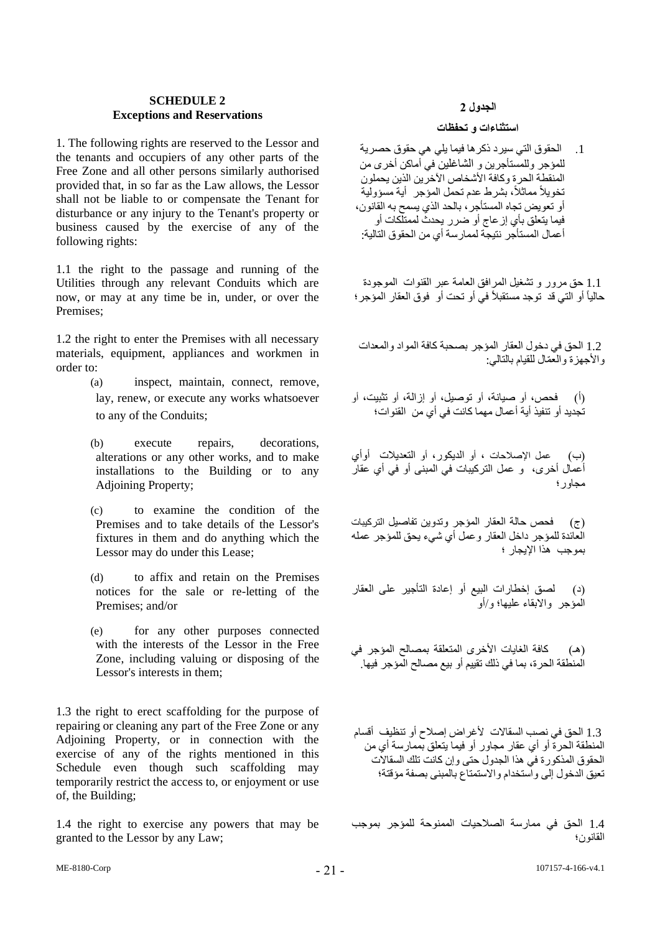### **2 SCHEDULEExceptions and Reservations**

1. The following rights are reserved to the Lessor and the tenants and occupiers of any other parts of the Free Zone and all other persons similarly authorised provided that, in so far as the Law allows, the Lessor shall not be liable to or compensate the Tenant for disturbance or any injury to the Tenant's property or business caused by the exercise of any of the following rights:

1.1 the right to the passage and running of the Utilities through any relevant Conduits which are now, or may at any time be in, under, or over the Premises;

1.2 the right to enter the Premises with all necessary materials, equipment, appliances and workmen in order to:

- (a) inspect, maintain, connect, remove, lay, renew, or execute any works whatsoever to any of the Conduits;
- (b) execute repairs, decorations, alterations or any other works, and to make installations to the Building or to any Adjoining Property;
- (c) to examine the condition of the Premises and to take details of the Lessor's fixtures in them and do anything which the Lessor may do under this Lease;
- (d) to affix and retain on the Premises notices for the sale or re-letting of the Premises; and/or
- (e) for any other purposes connected with the interests of the Lessor in the Free Zone, including valuing or disposing of the Lessor's interests in them;

1.3 the right to erect scaffolding for the purpose of repairing or cleaning any part of the Free Zone or any Adjoining Property, or in connection with the exercise of any of the rights mentioned in this Schedule even though such scaffolding may temporarily restrict the access to, or enjoyment or use of, the Building;

1.4 the right to exercise any powers that may be granted to the Lessor by any Law;

## **الجدول 2**

### **استثناءات و تحفظات**

.1 الحقوق التي سيرد ذكرها فيما يلي هي حقوق حصرية للمؤجر وللمستأجرين و الشاغلين في أماكن أخرى من المنقطة الحرة وكافة األشخاص اآلخرين الذين يحملون تخويالً مماثال،ً بشرط عدم تحمل المؤجر أية مسؤولية أو تعويض تجاه المستأجر، بالحد الذي يسمح به القانون، فيما يتعلق بأي إزعاج أو ةرر يحدث لممتلكات أو أعمال المستأجر نتيجة لممارسة أي من الحقوق التالية:

 1.1 حق مرور و تشغيل المرافق العامة عبر القنوات الموجودة حالياً أو التي قد توجد مستقبلاً في أو تحت أو فوق العقار المؤجر ؛

 1.2 الحق في دخول العقار المؤجر بصحبة كافة المواد والمعدات و الأجهز ة و العّمّال للقيام بالتالي:

)أ( فحص، أو صيانة، أو توصيل، أو إزالة، أو تثبيت، أو تجديد أو تنفيذ أية أعمال مهما كانت في أي من القنوات؛

)ب( عمل اإلصالحات ، أو الديكور، أو التعديالت أوأي أعمال أخرى، و عمل التركيبات في المبنى أو في أي عقار مجاور؛

)ج( فحص حالة العقار المؤجر وتدوين تفاصيل التركيبات العائدة للمؤجر داخل العقار وعمل أي شيء يحق للمؤجر عمله بموجب هذا اإليجار ؛

)د( لصق إخطارات البيع أو إعادة التأجير على العقار المؤجر واالبقاء عليها؛ و/أو

(هـ) كافة الغايات الأخرى المتعلقة بمصالح المؤجر في المنطقة الحرة، بما في ذلك تقييم أو بيع مصالح المؤجر فيها.

1.3 الحق في نصب السقالات لأغراض إصلاح أو تنظيف أقسام المنطقة الحرة أو أي عقار مجاور أو فيما يتعلق بممارسة أي من الحقوق المذكورة في هذا الجدول حتى وإن كانت تلك السقاالت تعيق الدخول إلى واستخدام واالستمتاع بالمبنى بصفة مؤقتة؛

1.4 الحق في ممارسة الصالحيات الممنوحة للمؤجر بموجب القانون؛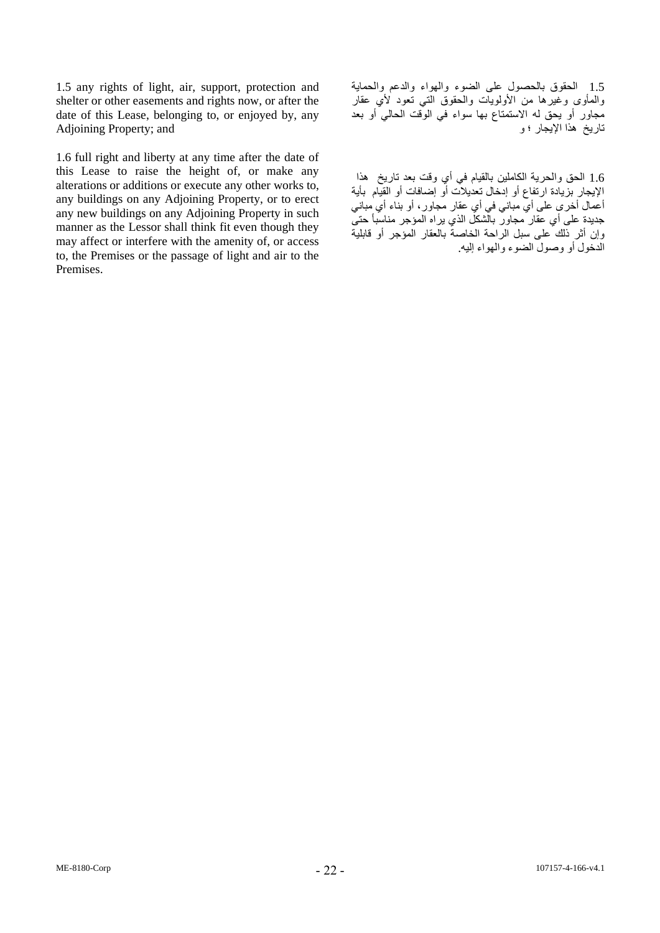1.5 any rights of light, air, support, protection and shelter or other easements and rights now, or after the date of this Lease, belonging to, or enjoyed by, any Adjoining Property; and

1.6 full right and liberty at any time after the date of this Lease to raise the height of, or make any alterations or additions or execute any other works to, any buildings on any Adjoining Property, or to erect any new buildings on any Adjoining Property in such manner as the Lessor shall think fit even though they may affect or interfere with the amenity of, or access to, the Premises or the passage of light and air to the Premises.

1.5 الحقوق بالحصول على الضوء والهواء والدعم والحماية والمأوى وغيرها من الأولويات والحقوق التي تعود لأي عقار مجاور أو يحق له االستمتاع بها سواء في الوقت الحالي أو بعد تاريخ هذا اإليجار ؛ و

1.6 الحق والحرية الكاملين بالقيام في أي وقت بعد تاريخ هذا الإيجار بزيادة ارتفاع أو إدخال تعديلات أو إضـافات أو القيام بأية أعمال أخرى على أي مباني في أي عقار مجاور، أو بناء أي مباني جديدة على أي عقار مجاور بالشكل الذي يراه المؤجر مناسباً حتى وإن أثر ذلك على سبل الراحة الخاصة بالعقار المؤجر أو قابلية الدخول أو وصول الضوء والهواء إليه.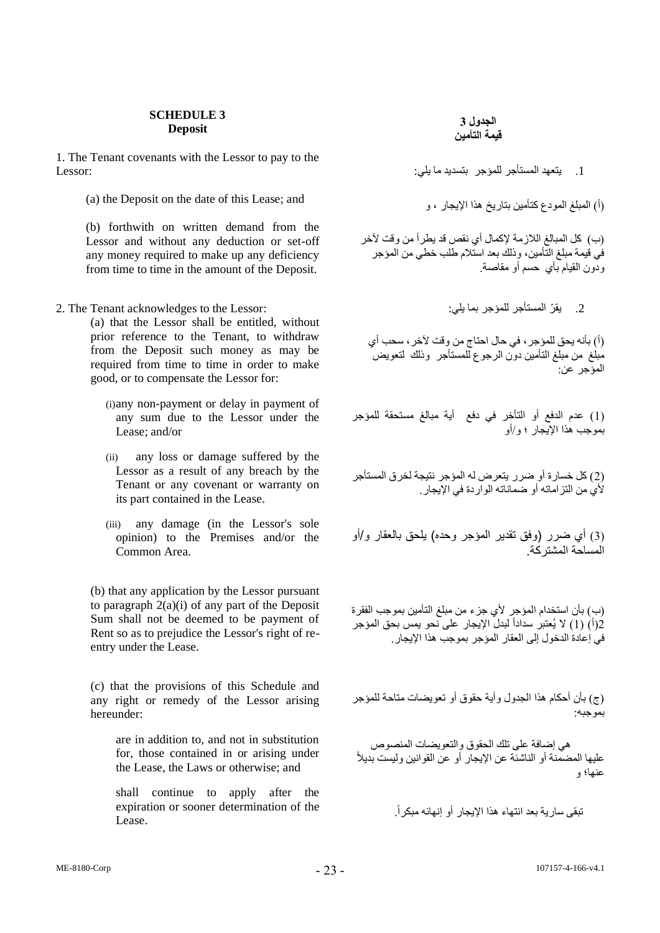### **SCHEDULE 3 Deposit**

1. The Tenant covenants with the Lessor to pay to the Lessor:

(i) المبلغ المودع كتأمين بتاريخ هذا الإيجار ، و (a) the Deposit on the date of this Lease; and

(b) forthwith on written demand from the Lessor and without any deduction or set-off any money required to make up any deficiency from time to time in the amount of the Deposit.

2. يقرّ المستأجر للمؤجر بما يلي: " . 2. The Tenant acknowledges to the Lessor the to acknowledges Te

(a) that the Lessor shall be entitled, without prior reference to the Tenant, to withdraw from the Deposit such money as may be required from time to time in order to make good, or to compensate the Lessor for:

- (i)any non-payment or delay in payment of any sum due to the Lessor under the Lease; and/or
- (ii) any loss or damage suffered by the Lessor as a result of any breach by the Tenant or any covenant or warranty on its part contained in the Lease.
- (iii) any damage (in the Lessor's sole opinion) to the Premises and/or the Common Area.

(b) that any application by the Lessor pursuant to paragraph 2(a)(i) of any part of the Deposit Sum shall not be deemed to be payment of Rent so as to prejudice the Lessor's right of reentry under the Lease.

(c) that the provisions of this Schedule and any right or remedy of the Lessor arising hereunder:

> are in addition to, and not in substitution for, those contained in or arising under the Lease, the Laws or otherwise; and

> shall continue to apply after the expiration or sooner determination of the Lease.

.1 يتعهد المستأجر للمؤجر بتسديد ما يلي:

)ب( كل المبالغ الالزمة إلكمال أي نقص قد يطرأ من وقت آلخر في قيمة مبلغ التأمين، وذلك بعد استالم طلب خطي من المؤجر ودون القيام بأي حسم أو مقاصة.

)أ( بأنه يحق للمؤجر، في حال احتاج من وقت آلخر، سحب أي مبلغ من مبلغ التأمين دون الرجوع للمستأجر وذلك لتعويض المؤجر عن:

)1( عدم الدفع أو التأخر في دفع أية مبالغ مستحقة للمؤجر بموجب هذا اإليجار ؛ و/أو

)2( كل خسارة أو ةرر يتعرض له المؤجر نتيجة لخرق المستأجر لأي من التز اماته أو ضماناته الوار دة في الإيجار .

(3) أي ضرر (وفق تقدير المؤجر وحده) يلحق بالعقار و/أو المساحة المشتركة.

)ب( بأن استخدام المؤجر ألي جزء من مبلغ التأمين بموجب الفقرة (أ) (1) لا يُعتبر سداداً لبدل الإيجار على نحو يمس بحق المؤجر في إعادة الدخول إلى العقار المؤجر بموجب هذا اإليجار.

)ج( بأن أحكام هذا الجدول وأية حقوق أو تعويضات متاحة للمؤجر بموجبه:

هي إضافة على تلك الحقوق والتعويضات المنصوص عليها المضمنة أو الناشئة عن اإليجار أو عن القوانين وليست بديالً عنها؛ و

تبقى سارية بعد انتهاء هذا اإليجار أو إنهائه مبكرا.ً